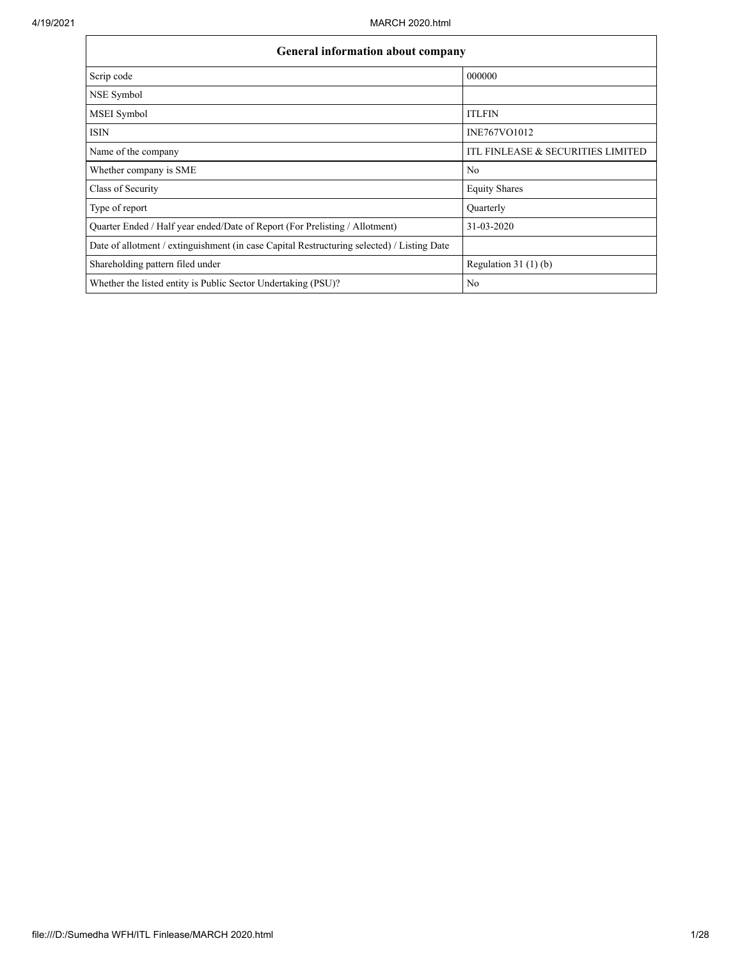$\mathbf{r}$ 

| <b>General information about company</b>                                                   |                                   |
|--------------------------------------------------------------------------------------------|-----------------------------------|
| Scrip code                                                                                 | 000000                            |
| NSE Symbol                                                                                 |                                   |
| MSEI Symbol                                                                                | <b>ITLFIN</b>                     |
| <b>ISIN</b>                                                                                | INE767VO1012                      |
| Name of the company                                                                        | ITL FINLEASE & SECURITIES LIMITED |
| Whether company is SME                                                                     | No                                |
| Class of Security                                                                          | <b>Equity Shares</b>              |
| Type of report                                                                             | Quarterly                         |
| Quarter Ended / Half year ended/Date of Report (For Prelisting / Allotment)                | 31-03-2020                        |
| Date of allotment / extinguishment (in case Capital Restructuring selected) / Listing Date |                                   |
| Shareholding pattern filed under                                                           | Regulation $31(1)(b)$             |
| Whether the listed entity is Public Sector Undertaking (PSU)?                              | No                                |

٦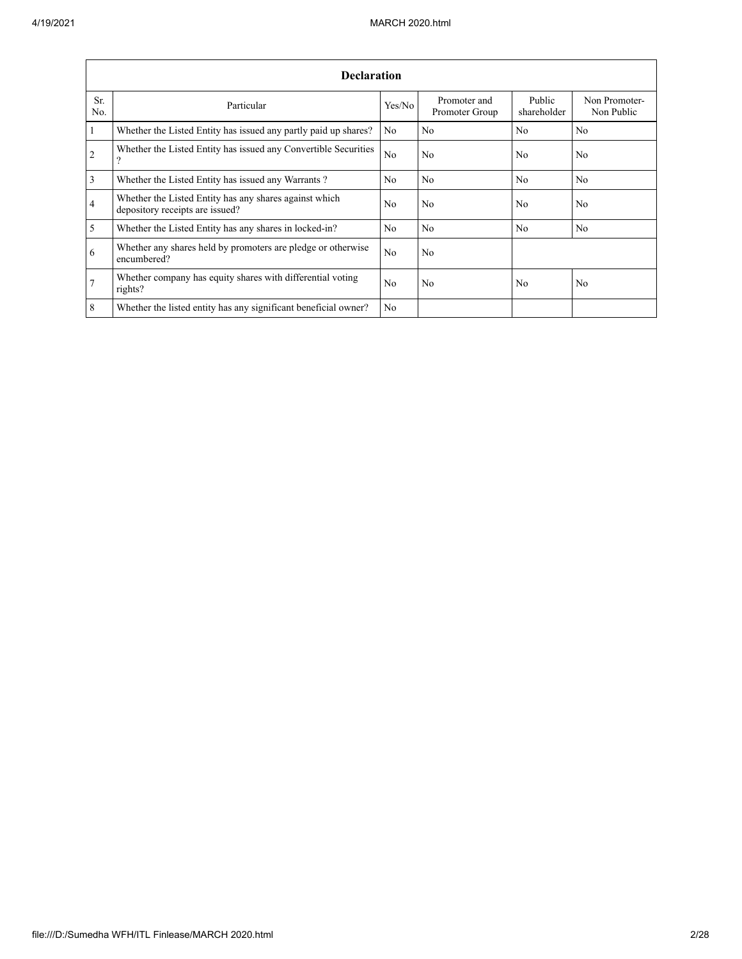|                | <b>Declaration</b>                                                                        |                |                                |                       |                             |
|----------------|-------------------------------------------------------------------------------------------|----------------|--------------------------------|-----------------------|-----------------------------|
| Sr.<br>No.     | Particular                                                                                | Yes/No         | Promoter and<br>Promoter Group | Public<br>shareholder | Non Promoter-<br>Non Public |
| $\overline{1}$ | Whether the Listed Entity has issued any partly paid up shares?                           | No             | No                             | N <sub>o</sub>        | N <sub>o</sub>              |
| $\sqrt{2}$     | Whether the Listed Entity has issued any Convertible Securities<br>9                      | No             | No                             | No                    | No                          |
| $\overline{3}$ | Whether the Listed Entity has issued any Warrants?                                        | N <sub>0</sub> | No                             | No                    | No                          |
| $\overline{4}$ | Whether the Listed Entity has any shares against which<br>depository receipts are issued? | No             | No                             | No                    | No                          |
| $\overline{5}$ | Whether the Listed Entity has any shares in locked-in?                                    | No             | N <sub>0</sub>                 | No                    | No                          |
| 6              | Whether any shares held by promoters are pledge or otherwise<br>encumbered?               | N <sub>0</sub> | No                             |                       |                             |
| $\overline{7}$ | Whether company has equity shares with differential voting<br>rights?                     | No             | No                             | No                    | No                          |
| 8              | Whether the listed entity has any significant beneficial owner?                           | N <sub>0</sub> |                                |                       |                             |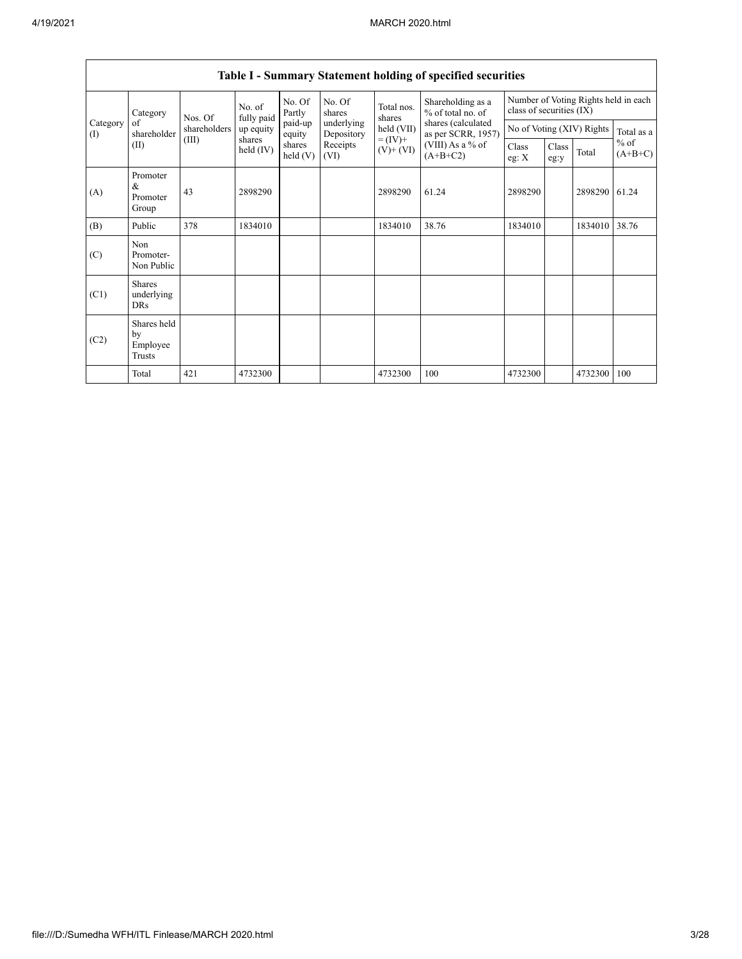|                 | Category                                  | Nos. Of      | No. of<br>fully paid  | No. Of<br>Partly  | No. Of<br>shares         | Total nos.<br>shares         | Shareholding as a<br>% of total no. of   | class of securities (IX) |               | Number of Voting Rights held in each |                     |
|-----------------|-------------------------------------------|--------------|-----------------------|-------------------|--------------------------|------------------------------|------------------------------------------|--------------------------|---------------|--------------------------------------|---------------------|
| Category<br>(I) | of<br>shareholder                         | shareholders | up equity             | paid-up<br>equity | underlying<br>Depository | held (VII)                   | shares (calculated<br>as per SCRR, 1957) |                          |               | No of Voting (XIV) Rights            | Total as a          |
|                 | (II)                                      | (III)        | shares<br>held $(IV)$ | shares<br>held(V) | Receipts<br>(VI)         | $= (IV) +$<br>$(V)$ + $(VI)$ | (VIII) As a % of<br>$(A+B+C2)$           | Class<br>eg: $X$         | Class<br>eg:y | Total                                | $%$ of<br>$(A+B+C)$ |
| (A)             | Promoter<br>$\&$<br>Promoter<br>Group     | 43           | 2898290               |                   |                          | 2898290                      | 61.24                                    | 2898290                  |               | 2898290                              | 61.24               |
| (B)             | Public                                    | 378          | 1834010               |                   |                          | 1834010                      | 38.76                                    | 1834010                  |               | 1834010                              | 38.76               |
| (C)             | Non<br>Promoter-<br>Non Public            |              |                       |                   |                          |                              |                                          |                          |               |                                      |                     |
| (C1)            | <b>Shares</b><br>underlying<br><b>DRs</b> |              |                       |                   |                          |                              |                                          |                          |               |                                      |                     |
| (C2)            | Shares held<br>by<br>Employee<br>Trusts   |              |                       |                   |                          |                              |                                          |                          |               |                                      |                     |
|                 | Total                                     | 421          | 4732300               |                   |                          | 4732300                      | 100                                      | 4732300                  |               | 4732300                              | 100                 |

# **Table I - Summary Statement holding of specified securities**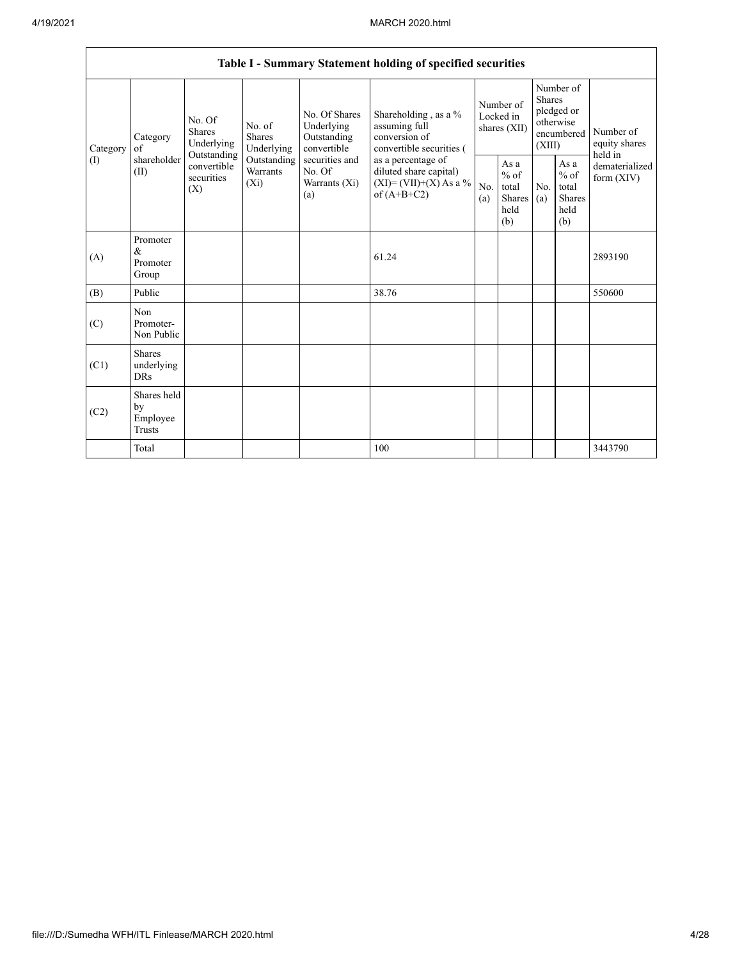|          |                                           |                                                 |                                    |                                                           | Table I - Summary Statement holding of specified securities                              |            |                                                  |                         |                                                         |                                       |
|----------|-------------------------------------------|-------------------------------------------------|------------------------------------|-----------------------------------------------------------|------------------------------------------------------------------------------------------|------------|--------------------------------------------------|-------------------------|---------------------------------------------------------|---------------------------------------|
| Category | Category<br>of                            | No. Of<br><b>Shares</b><br>Underlying           | No. of<br>Shares<br>Underlying     | No. Of Shares<br>Underlying<br>Outstanding<br>convertible | Shareholding, as a %<br>assuming full<br>conversion of<br>convertible securities (       |            | Number of<br>Locked in<br>shares (XII)           | <b>Shares</b><br>(XIII) | Number of<br>pledged or<br>otherwise<br>encumbered      | Number of<br>equity shares<br>held in |
| (1)      | shareholder<br>(II)                       | Outstanding<br>convertible<br>securities<br>(X) | Outstanding<br>Warrants<br>$(X_i)$ | securities and<br>No. Of<br>Warrants (Xi)<br>(a)          | as a percentage of<br>diluted share capital)<br>$(XI)=(VII)+(X) As a %$<br>of $(A+B+C2)$ | No.<br>(a) | As a<br>$%$ of<br>total<br>Shares<br>held<br>(b) | No.<br>(a)              | As a<br>$%$ of<br>total<br><b>Shares</b><br>held<br>(b) | dematerialized<br>form (XIV)          |
| (A)      | Promoter<br>&<br>Promoter<br>Group        |                                                 |                                    |                                                           | 61.24                                                                                    |            |                                                  |                         |                                                         | 2893190                               |
| (B)      | Public                                    |                                                 |                                    |                                                           | 38.76                                                                                    |            |                                                  |                         |                                                         | 550600                                |
| (C)      | Non<br>Promoter-<br>Non Public            |                                                 |                                    |                                                           |                                                                                          |            |                                                  |                         |                                                         |                                       |
| (C1)     | <b>Shares</b><br>underlying<br><b>DRs</b> |                                                 |                                    |                                                           |                                                                                          |            |                                                  |                         |                                                         |                                       |
| (C2)     | Shares held<br>by<br>Employee<br>Trusts   |                                                 |                                    |                                                           |                                                                                          |            |                                                  |                         |                                                         |                                       |
|          | Total                                     |                                                 |                                    |                                                           | 100                                                                                      |            |                                                  |                         |                                                         | 3443790                               |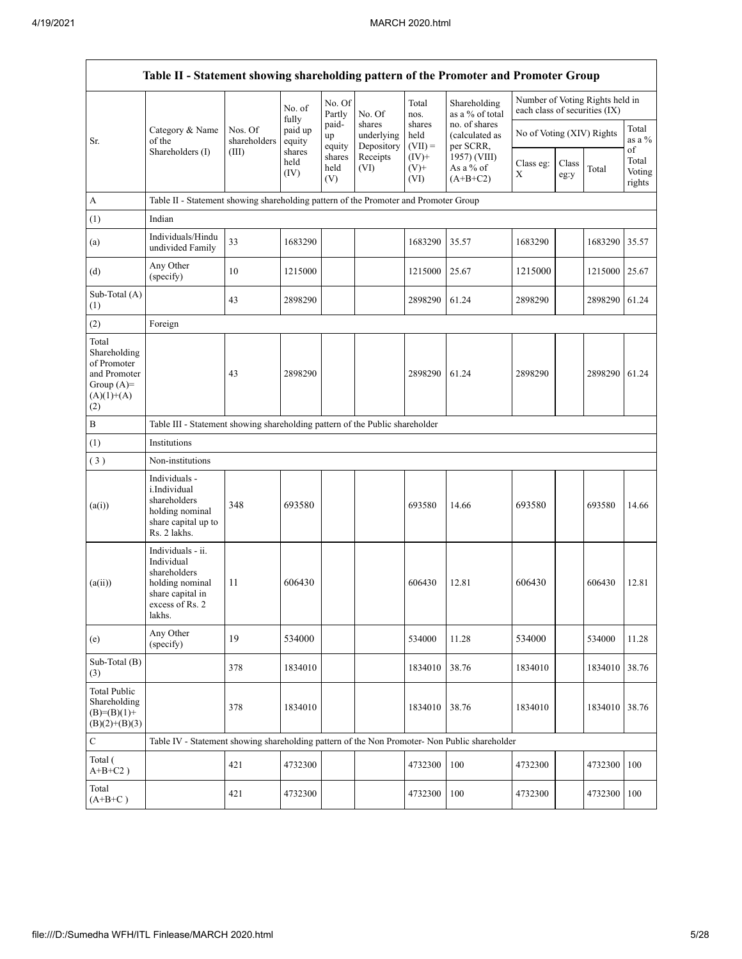$\overline{\phantom{a}}$ 

|                                                                                             | Table II - Statement showing shareholding pattern of the Promoter and Promoter Group                                |                         |                            |                       |                                    |                             |                                              |                               |               |                                 |                                 |
|---------------------------------------------------------------------------------------------|---------------------------------------------------------------------------------------------------------------------|-------------------------|----------------------------|-----------------------|------------------------------------|-----------------------------|----------------------------------------------|-------------------------------|---------------|---------------------------------|---------------------------------|
|                                                                                             |                                                                                                                     |                         | No. of                     | No. Of<br>Partly      | No. Of                             | Total<br>nos.               | Shareholding<br>as a % of total              | each class of securities (IX) |               | Number of Voting Rights held in |                                 |
| Sr.                                                                                         | Category & Name<br>of the                                                                                           | Nos. Of<br>shareholders | fully<br>paid up<br>equity | paid-<br>up<br>equity | shares<br>underlying<br>Depository | shares<br>held<br>$(VII) =$ | no. of shares<br>(calculated as<br>per SCRR, | No of Voting (XIV) Rights     |               |                                 | Total<br>as a %                 |
|                                                                                             | Shareholders (I)                                                                                                    | (III)                   | shares<br>held<br>(IV)     | shares<br>held<br>(V) | Receipts<br>(VI)                   | $(IV)+$<br>$(V)$ +<br>(VI)  | 1957) (VIII)<br>As a % of<br>$(A+B+C2)$      | Class eg:<br>X                | Class<br>eg:y | Total                           | of<br>Total<br>Voting<br>rights |
| A                                                                                           | Table II - Statement showing shareholding pattern of the Promoter and Promoter Group                                |                         |                            |                       |                                    |                             |                                              |                               |               |                                 |                                 |
| (1)                                                                                         | Indian                                                                                                              |                         |                            |                       |                                    |                             |                                              |                               |               |                                 |                                 |
| (a)                                                                                         | Individuals/Hindu<br>undivided Family                                                                               | 33                      | 1683290                    |                       |                                    | 1683290                     | 35.57                                        | 1683290                       |               | 1683290                         | 35.57                           |
| (d)                                                                                         | Any Other<br>(specify)                                                                                              | 10                      | 1215000                    |                       |                                    | 1215000                     | 25.67                                        | 1215000                       |               | 1215000                         | 25.67                           |
| Sub-Total (A)<br>(1)                                                                        |                                                                                                                     | 43                      | 2898290                    |                       |                                    | 2898290                     | 61.24                                        | 2898290                       |               | 2898290                         | 61.24                           |
| (2)                                                                                         | Foreign                                                                                                             |                         |                            |                       |                                    |                             |                                              |                               |               |                                 |                                 |
| Total<br>Shareholding<br>of Promoter<br>and Promoter<br>Group $(A)=$<br>$(A)(1)+(A)$<br>(2) |                                                                                                                     | 43                      | 2898290                    |                       |                                    | 2898290                     | 61.24                                        | 2898290                       |               | 2898290                         | 61.24                           |
| $\, {\bf B}$                                                                                | Table III - Statement showing shareholding pattern of the Public shareholder                                        |                         |                            |                       |                                    |                             |                                              |                               |               |                                 |                                 |
| (1)                                                                                         | Institutions                                                                                                        |                         |                            |                       |                                    |                             |                                              |                               |               |                                 |                                 |
| (3)                                                                                         | Non-institutions                                                                                                    |                         |                            |                       |                                    |                             |                                              |                               |               |                                 |                                 |
| (a(i))                                                                                      | Individuals -<br>i.Individual<br>shareholders<br>holding nominal<br>share capital up to<br>Rs. 2 lakhs.             | 348                     | 693580                     |                       |                                    | 693580                      | 14.66                                        | 693580                        |               | 693580                          | 14.66                           |
| (a(ii))                                                                                     | Individuals - ii.<br>Individual<br>shareholders<br>holding nominal<br>share capital in<br>excess of Rs. 2<br>lakhs. | 11                      | 606430                     |                       |                                    | 606430                      | 12.81                                        | 606430                        |               | 606430                          | 12.81                           |
| (e)                                                                                         | Any Other<br>(specify)                                                                                              | 19                      | 534000                     |                       |                                    | 534000                      | 11.28                                        | 534000                        |               | 534000                          | 11.28                           |
| Sub-Total (B)<br>(3)                                                                        |                                                                                                                     | 378                     | 1834010                    |                       |                                    | 1834010                     | 38.76                                        | 1834010                       |               | 1834010                         | 38.76                           |
| <b>Total Public</b><br>Shareholding<br>$(B)=(B)(1)+$<br>$(B)(2)+(B)(3)$                     |                                                                                                                     | 378                     | 1834010                    |                       |                                    | 1834010                     | 38.76                                        | 1834010                       |               | 1834010                         | 38.76                           |
| $\mathbf C$                                                                                 | Table IV - Statement showing shareholding pattern of the Non Promoter- Non Public shareholder                       |                         |                            |                       |                                    |                             |                                              |                               |               |                                 |                                 |
| Total (<br>$A+B+C2$ )                                                                       |                                                                                                                     | 421                     | 4732300                    |                       |                                    | 4732300                     | 100                                          | 4732300                       |               | 4732300                         | 100                             |
| Total<br>$(A+B+C)$                                                                          |                                                                                                                     | 421                     | 4732300                    |                       |                                    | 4732300                     | 100                                          | 4732300                       |               | 4732300                         | 100                             |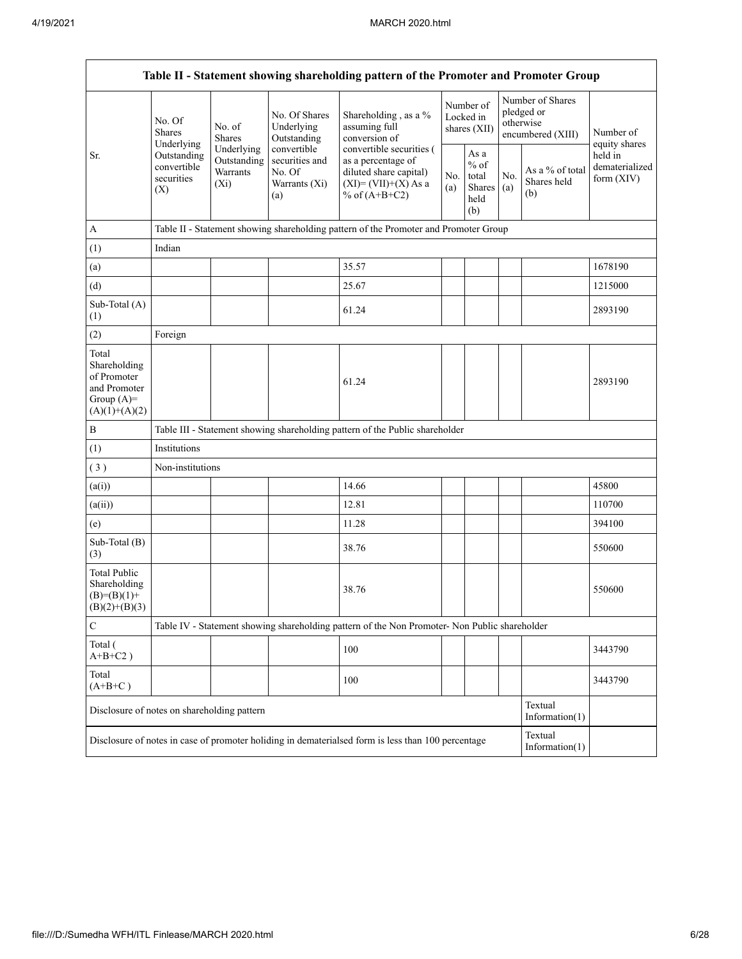|                                                                                         |                                                 |                                                  |                                                                 | Table II - Statement showing shareholding pattern of the Promoter and Promoter Group                                   |            |                                                   |            |                                                                  |                                         |
|-----------------------------------------------------------------------------------------|-------------------------------------------------|--------------------------------------------------|-----------------------------------------------------------------|------------------------------------------------------------------------------------------------------------------------|------------|---------------------------------------------------|------------|------------------------------------------------------------------|-----------------------------------------|
|                                                                                         | No. Of<br>Shares<br>Underlying                  | No. of<br>Shares                                 | No. Of Shares<br>Underlying<br>Outstanding                      | Shareholding, as a %<br>assuming full<br>conversion of                                                                 |            | Number of<br>Locked in<br>shares $(XII)$          |            | Number of Shares<br>pledged or<br>otherwise<br>encumbered (XIII) | Number of<br>equity shares              |
| Sr.                                                                                     | Outstanding<br>convertible<br>securities<br>(X) | Underlying<br>Outstanding<br>Warrants<br>$(X_i)$ | convertible<br>securities and<br>No. Of<br>Warrants (Xi)<br>(a) | convertible securities (<br>as a percentage of<br>diluted share capital)<br>$(XI) = (VII)+(X) As a$<br>% of $(A+B+C2)$ | No.<br>(a) | As a<br>$\%$ of<br>total<br>Shares<br>held<br>(b) | No.<br>(a) | As a % of total<br>Shares held<br>(b)                            | held in<br>dematerialized<br>form (XIV) |
| $\overline{A}$                                                                          |                                                 |                                                  |                                                                 | Table II - Statement showing shareholding pattern of the Promoter and Promoter Group                                   |            |                                                   |            |                                                                  |                                         |
| (1)                                                                                     | Indian                                          |                                                  |                                                                 |                                                                                                                        |            |                                                   |            |                                                                  |                                         |
| (a)                                                                                     |                                                 |                                                  |                                                                 | 35.57                                                                                                                  |            |                                                   |            |                                                                  | 1678190                                 |
| (d)                                                                                     |                                                 |                                                  |                                                                 | 25.67                                                                                                                  |            |                                                   |            |                                                                  | 1215000                                 |
| Sub-Total (A)<br>(1)                                                                    |                                                 |                                                  |                                                                 | 61.24                                                                                                                  |            |                                                   |            |                                                                  | 2893190                                 |
| (2)                                                                                     | Foreign                                         |                                                  |                                                                 |                                                                                                                        |            |                                                   |            |                                                                  |                                         |
| Total<br>Shareholding<br>of Promoter<br>and Promoter<br>Group $(A)=$<br>$(A)(1)+(A)(2)$ |                                                 |                                                  |                                                                 | 61.24                                                                                                                  |            |                                                   |            |                                                                  | 2893190                                 |
| $\, {\bf B}$                                                                            |                                                 |                                                  |                                                                 | Table III - Statement showing shareholding pattern of the Public shareholder                                           |            |                                                   |            |                                                                  |                                         |
| (1)                                                                                     | Institutions                                    |                                                  |                                                                 |                                                                                                                        |            |                                                   |            |                                                                  |                                         |
| (3)                                                                                     | Non-institutions                                |                                                  |                                                                 |                                                                                                                        |            |                                                   |            |                                                                  |                                         |
| (a(i))                                                                                  |                                                 |                                                  |                                                                 | 14.66                                                                                                                  |            |                                                   |            |                                                                  | 45800                                   |
| (a(ii))                                                                                 |                                                 |                                                  |                                                                 | 12.81                                                                                                                  |            |                                                   |            |                                                                  | 110700                                  |
| (e)                                                                                     |                                                 |                                                  |                                                                 | 11.28                                                                                                                  |            |                                                   |            |                                                                  | 394100                                  |
| Sub-Total (B)<br>(3)                                                                    |                                                 |                                                  |                                                                 | 38.76                                                                                                                  |            |                                                   |            |                                                                  | 550600                                  |
| <b>Total Public</b><br>Shareholding<br>$(B)= (B)(1) +$<br>$(B)(2)+(B)(3)$               |                                                 |                                                  |                                                                 | 38.76                                                                                                                  |            |                                                   |            |                                                                  | 550600                                  |
| $\mathbf C$                                                                             |                                                 |                                                  |                                                                 | Table IV - Statement showing shareholding pattern of the Non Promoter- Non Public shareholder                          |            |                                                   |            |                                                                  |                                         |
| Total (<br>$A+B+C2$ )                                                                   |                                                 |                                                  |                                                                 | 100                                                                                                                    |            |                                                   |            |                                                                  | 3443790                                 |
| Total<br>$(A+B+C)$                                                                      |                                                 |                                                  |                                                                 | 100                                                                                                                    |            |                                                   |            |                                                                  | 3443790                                 |
| Disclosure of notes on shareholding pattern                                             |                                                 |                                                  |                                                                 |                                                                                                                        |            |                                                   |            | Textual<br>Information(1)                                        |                                         |
|                                                                                         |                                                 |                                                  |                                                                 | Disclosure of notes in case of promoter holiding in dematerialsed form is less than 100 percentage                     |            |                                                   |            | Textual<br>Information $(1)$                                     |                                         |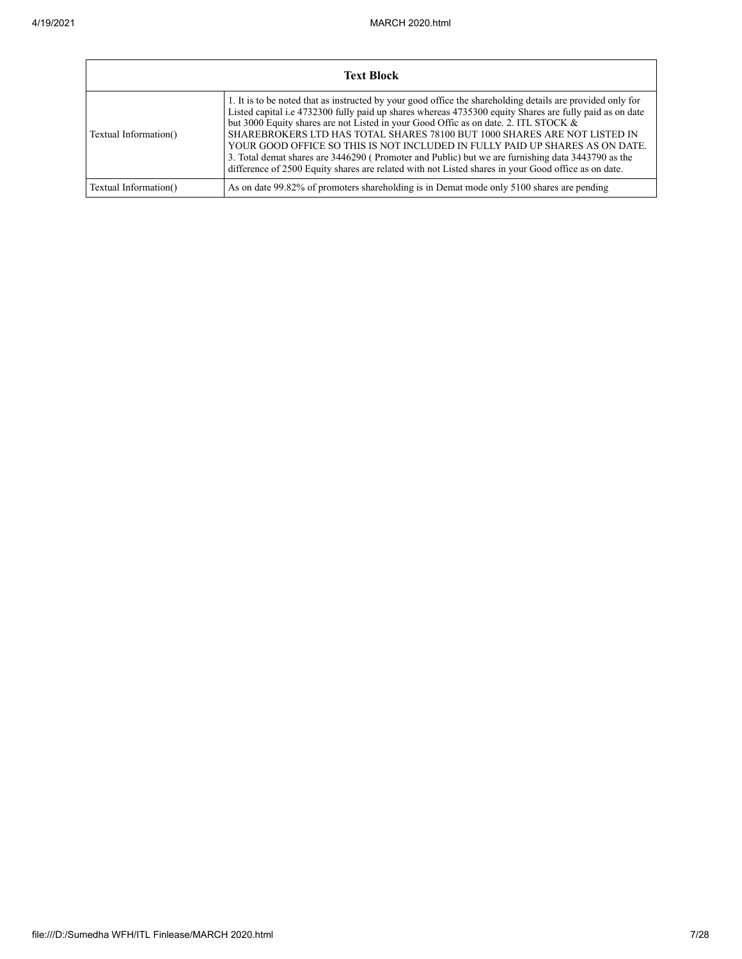|                       | <b>Text Block</b>                                                                                                                                                                                                                                                                                                                                                                                                                                                                                                                                                                                                                                                                     |
|-----------------------|---------------------------------------------------------------------------------------------------------------------------------------------------------------------------------------------------------------------------------------------------------------------------------------------------------------------------------------------------------------------------------------------------------------------------------------------------------------------------------------------------------------------------------------------------------------------------------------------------------------------------------------------------------------------------------------|
| Textual Information() | 1. It is to be noted that as instructed by your good office the shareholding details are provided only for<br>Listed capital i.e 4732300 fully paid up shares whereas 4735300 equity Shares are fully paid as on date<br>but 3000 Equity shares are not Listed in your Good Offic as on date. 2. ITL STOCK &<br>SHAREBROKERS LTD HAS TOTAL SHARES 78100 BUT 1000 SHARES ARE NOT LISTED IN<br>YOUR GOOD OFFICE SO THIS IS NOT INCLUDED IN FULLY PAID UP SHARES AS ON DATE.<br>3. Total demat shares are 3446290 (Promoter and Public) but we are furnishing data 3443790 as the<br>difference of 2500 Equity shares are related with not Listed shares in your Good office as on date. |
| Textual Information() | As on date 99.82% of promoters shareholding is in Demat mode only 5100 shares are pending                                                                                                                                                                                                                                                                                                                                                                                                                                                                                                                                                                                             |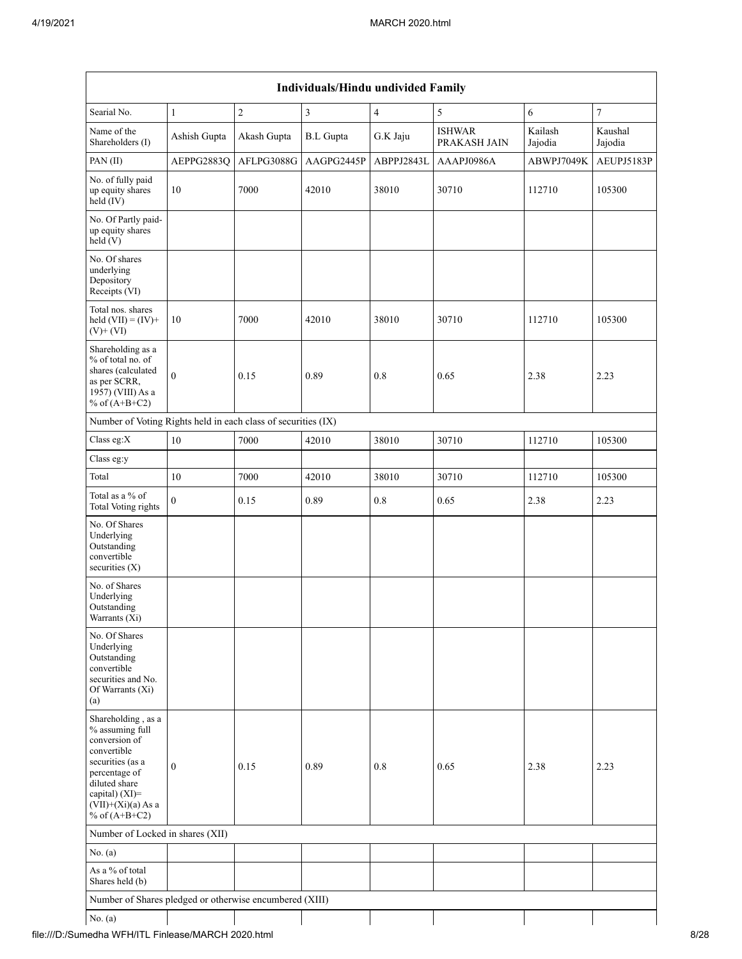| Searial No.                                                                                                                                                                                 | $\mathbf{1}$     | $\sqrt{2}$  | $\mathfrak{Z}$   | $\overline{4}$ | 5                             | 6                  | $\boldsymbol{7}$   |
|---------------------------------------------------------------------------------------------------------------------------------------------------------------------------------------------|------------------|-------------|------------------|----------------|-------------------------------|--------------------|--------------------|
| Name of the<br>Shareholders (I)                                                                                                                                                             | Ashish Gupta     | Akash Gupta | <b>B.L</b> Gupta | G.K Jaju       | <b>ISHWAR</b><br>PRAKASH JAIN | Kailash<br>Jajodia | Kaushal<br>Jajodia |
| PAN(II)                                                                                                                                                                                     | AEPPG2883Q       | AFLPG3088G  | AAGPG2445P       | ABPPJ2843L     | AAAPJ0986A                    | ABWPJ7049K         | AEUPJ5183P         |
| No. of fully paid<br>up equity shares<br>$held$ (IV)                                                                                                                                        | 10               | 7000        | 42010            | 38010          | 30710                         | 112710             | 105300             |
| No. Of Partly paid-<br>up equity shares<br>held(V)                                                                                                                                          |                  |             |                  |                |                               |                    |                    |
| No. Of shares<br>underlying<br>Depository<br>Receipts (VI)                                                                                                                                  |                  |             |                  |                |                               |                    |                    |
| Total nos. shares<br>held $(VII) = (IV) +$<br>$(V)$ + $(VI)$                                                                                                                                | $10\,$           | 7000        | 42010            | 38010          | 30710                         | 112710             | 105300             |
| Shareholding as a<br>% of total no. of<br>shares (calculated<br>as per SCRR,<br>1957) (VIII) As a<br>% of $(A+B+C2)$                                                                        | $\boldsymbol{0}$ | 0.15        | 0.89             | 0.8            | 0.65                          | 2.38               | 2.23               |
| Number of Voting Rights held in each class of securities (IX)                                                                                                                               |                  |             |                  |                |                               |                    |                    |
| Class eg:X                                                                                                                                                                                  | $10\,$           | 7000        | 42010            | 38010          | 30710                         | 112710             | 105300             |
| Class eg:y                                                                                                                                                                                  |                  |             |                  |                |                               |                    |                    |
| Total                                                                                                                                                                                       | 10               | 7000        | 42010            | 38010          | 30710                         | 112710             | 105300             |
| Total as a $\%$ of<br>Total Voting rights                                                                                                                                                   | $\overline{0}$   | 0.15        | 0.89             | 0.8            | 0.65                          | 2.38               | 2.23               |
| No. Of Shares<br>Underlying<br>Outstanding<br>convertible<br>securities $(X)$                                                                                                               |                  |             |                  |                |                               |                    |                    |
| No. of Shares<br>Underlying<br>Outstanding<br>Warrants (Xi)                                                                                                                                 |                  |             |                  |                |                               |                    |                    |
| No. Of Shares<br>Underlying<br>Outstanding<br>convertible<br>securities and No.<br>Of Warrants (Xi)<br>(a)                                                                                  |                  |             |                  |                |                               |                    |                    |
| Shareholding, as a<br>% assuming full<br>conversion of<br>convertible<br>securities (as a<br>percentage of<br>diluted share<br>capital) $(XI)$ =<br>$(VII)+(Xi)(a)$ As a<br>% of $(A+B+C2)$ | $\boldsymbol{0}$ | 0.15        | 0.89             | 0.8            | 0.65                          | 2.38               | 2.23               |
| Number of Locked in shares (XII)                                                                                                                                                            |                  |             |                  |                |                               |                    |                    |
| No. (a)                                                                                                                                                                                     |                  |             |                  |                |                               |                    |                    |
| As a % of total<br>Shares held (b)                                                                                                                                                          |                  |             |                  |                |                               |                    |                    |
| Number of Shares pledged or otherwise encumbered (XIII)                                                                                                                                     |                  |             |                  |                |                               |                    |                    |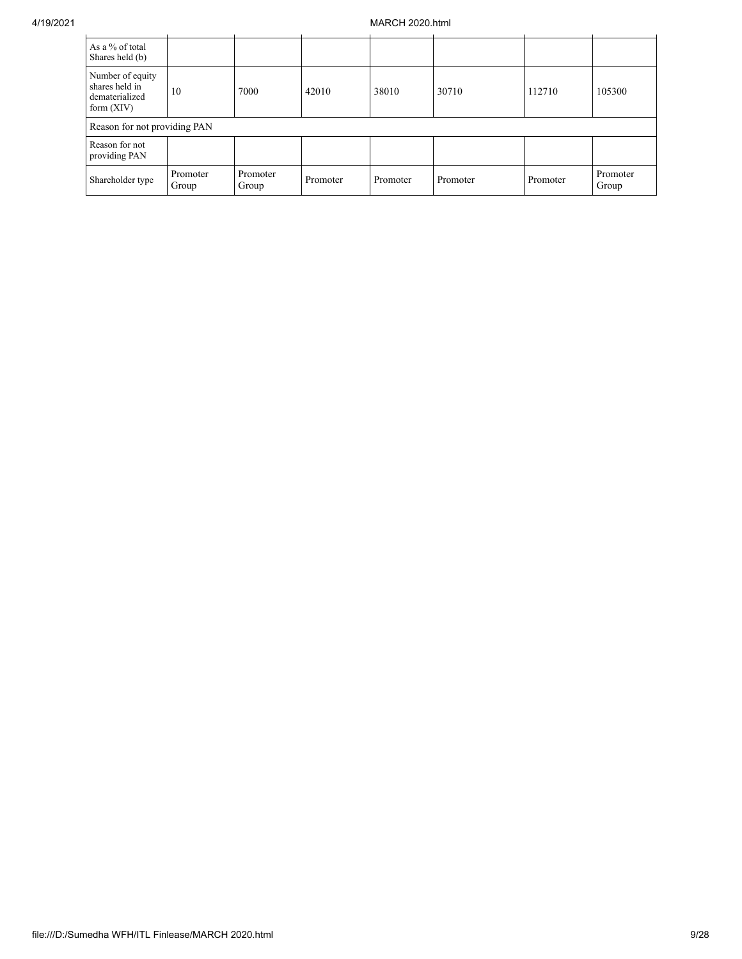| As a % of total<br>Shares held (b)                                   |                   |                   |          |          |          |          |                   |
|----------------------------------------------------------------------|-------------------|-------------------|----------|----------|----------|----------|-------------------|
| Number of equity<br>shares held in<br>dematerialized<br>form $(XIV)$ | 10                | 7000              | 42010    | 38010    | 30710    | 112710   | 105300            |
| Reason for not providing PAN                                         |                   |                   |          |          |          |          |                   |
| Reason for not<br>providing PAN                                      |                   |                   |          |          |          |          |                   |
| Shareholder type                                                     | Promoter<br>Group | Promoter<br>Group | Promoter | Promoter | Promoter | Promoter | Promoter<br>Group |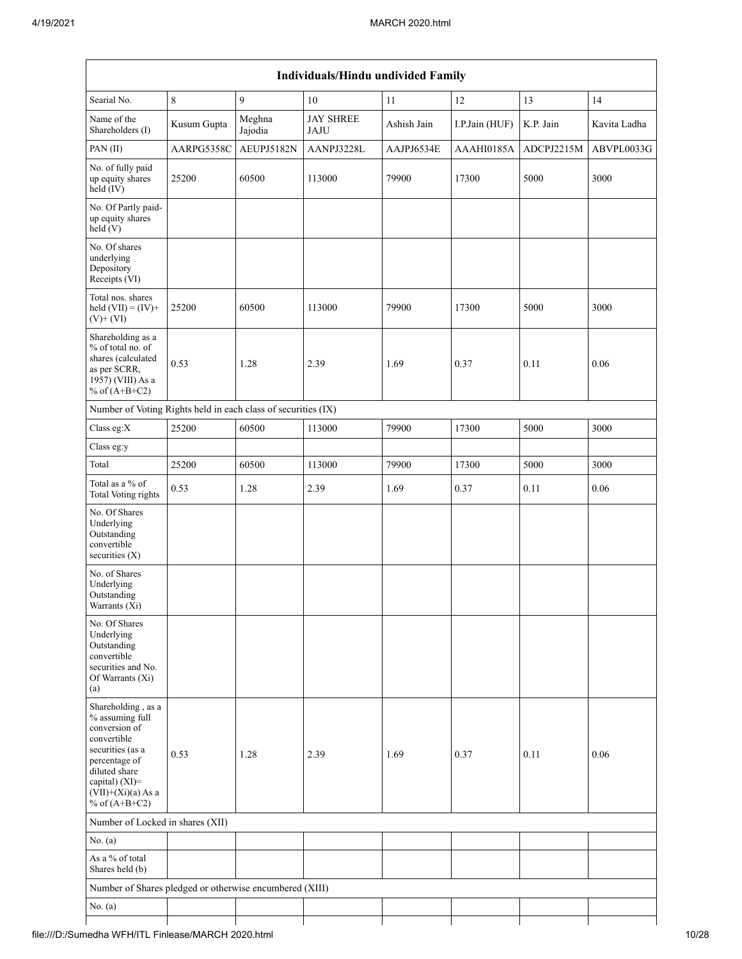|                                                                                                                                                                                          |             |                   | Individuals/Hindu undivided Family |             |                |            |              |
|------------------------------------------------------------------------------------------------------------------------------------------------------------------------------------------|-------------|-------------------|------------------------------------|-------------|----------------|------------|--------------|
| Searial No.                                                                                                                                                                              | $\,8\,$     | 9                 | 10                                 | 11          | 12             | 13         | 14           |
| Name of the<br>Shareholders (I)                                                                                                                                                          | Kusum Gupta | Meghna<br>Jajodia | <b>JAY SHREE</b><br><b>JAJU</b>    | Ashish Jain | I.P.Jain (HUF) | K.P. Jain  | Kavita Ladha |
| PAN(II)                                                                                                                                                                                  | AARPG5358C  | AEUPJ5182N        | AANPJ3228L                         | AAJPJ6534E  | AAAHI0185A     | ADCPJ2215M | ABVPL0033G   |
| No. of fully paid<br>up equity shares<br>$held$ (IV)                                                                                                                                     | 25200       | 60500             | 113000                             | 79900       | 17300          | 5000       | 3000         |
| No. Of Partly paid-<br>up equity shares<br>held (V)                                                                                                                                      |             |                   |                                    |             |                |            |              |
| No. Of shares<br>underlying<br>Depository<br>Receipts (VI)                                                                                                                               |             |                   |                                    |             |                |            |              |
| Total nos. shares<br>held $(VII) = (IV) +$<br>$(V)$ + $(VI)$                                                                                                                             | 25200       | 60500             | 113000                             | 79900       | 17300          | 5000       | 3000         |
| Shareholding as a<br>% of total no. of<br>shares (calculated<br>as per SCRR,<br>1957) (VIII) As a<br>% of $(A+B+C2)$                                                                     | 0.53        | 1.28              | 2.39                               | 1.69        | 0.37           | 0.11       | 0.06         |
| Number of Voting Rights held in each class of securities (IX)                                                                                                                            |             |                   |                                    |             |                |            |              |
| Class eg:X                                                                                                                                                                               | 25200       | 60500             | 113000                             | 79900       | 17300          | 5000       | 3000         |
| Class eg:y                                                                                                                                                                               |             |                   |                                    |             |                |            |              |
| Total                                                                                                                                                                                    | 25200       | 60500             | 113000                             | 79900       | 17300          | 5000       | 3000         |
| Total as a % of<br><b>Total Voting rights</b>                                                                                                                                            | 0.53        | 1.28              | 2.39                               | 1.69        | 0.37           | 0.11       | 0.06         |
| No. Of Shares<br>Underlying<br>Outstanding<br>convertible<br>securities (X)                                                                                                              |             |                   |                                    |             |                |            |              |
| No. of Shares<br>Underlying<br>Outstanding<br>Warrants $(X_i)$                                                                                                                           |             |                   |                                    |             |                |            |              |
| No. Of Shares<br>Underlying<br>Outstanding<br>convertible<br>securities and No.<br>Of Warrants (Xi)<br>(a)                                                                               |             |                   |                                    |             |                |            |              |
| Shareholding, as a<br>% assuming full<br>conversion of<br>convertible<br>securities (as a<br>percentage of<br>diluted share<br>capital) (XI)=<br>$(VII)+(Xi)(a)$ As a<br>% of $(A+B+C2)$ | 0.53        | 1.28              | 2.39                               | 1.69        | 0.37           | 0.11       | 0.06         |
| Number of Locked in shares (XII)                                                                                                                                                         |             |                   |                                    |             |                |            |              |
| No. (a)                                                                                                                                                                                  |             |                   |                                    |             |                |            |              |
| As a % of total<br>Shares held (b)                                                                                                                                                       |             |                   |                                    |             |                |            |              |
| Number of Shares pledged or otherwise encumbered (XIII)                                                                                                                                  |             |                   |                                    |             |                |            |              |
| No. (a)                                                                                                                                                                                  |             |                   |                                    |             |                |            |              |
|                                                                                                                                                                                          |             |                   |                                    |             |                |            |              |

## file:///D:/Sumedha WFH/ITL Finlease/MARCH 2020.html 10/28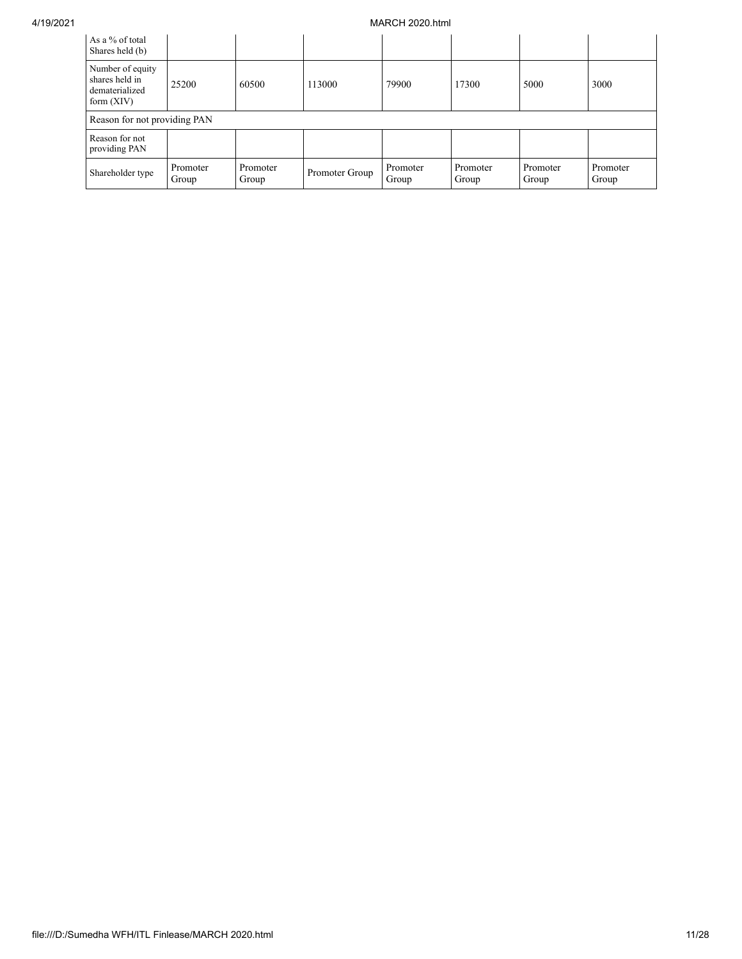| As a % of total<br>Shares held (b)                                   |                   |                   |                |                   |                   |                   |                   |
|----------------------------------------------------------------------|-------------------|-------------------|----------------|-------------------|-------------------|-------------------|-------------------|
| Number of equity<br>shares held in<br>dematerialized<br>form $(XIV)$ | 25200             | 60500             | 113000         | 79900             | 17300             | 5000              | 3000              |
| Reason for not providing PAN                                         |                   |                   |                |                   |                   |                   |                   |
| Reason for not<br>providing PAN                                      |                   |                   |                |                   |                   |                   |                   |
| Shareholder type                                                     | Promoter<br>Group | Promoter<br>Group | Promoter Group | Promoter<br>Group | Promoter<br>Group | Promoter<br>Group | Promoter<br>Group |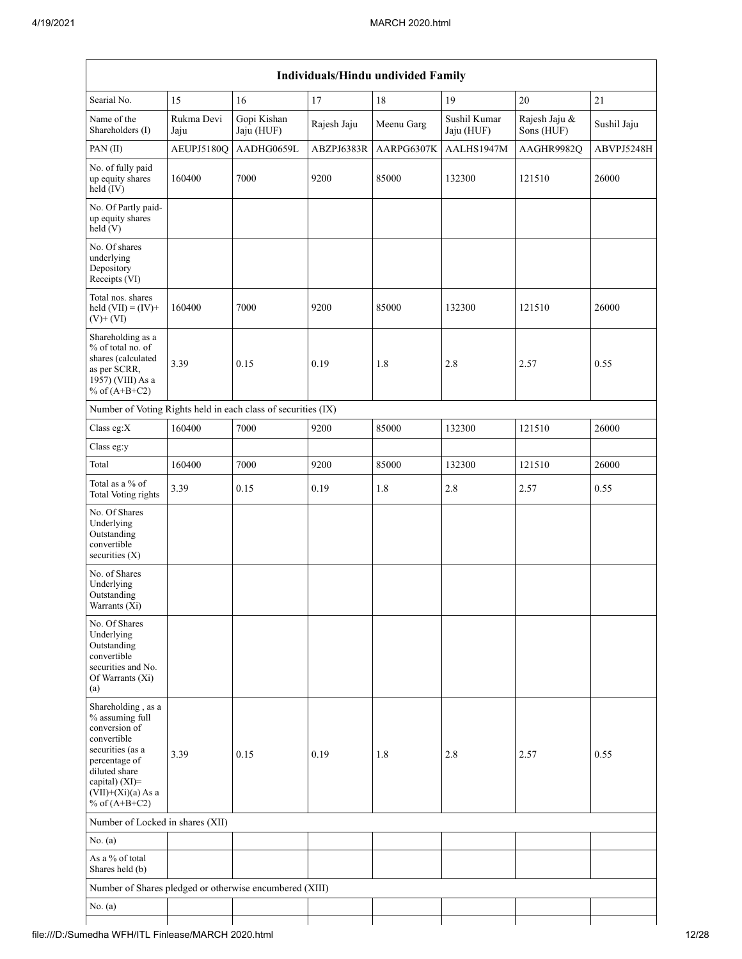| Searial No.                                                                                                                                                                              | 15                 | 16                        | 17          | $18\,$     | 19                         | 20                          | $21\,$      |
|------------------------------------------------------------------------------------------------------------------------------------------------------------------------------------------|--------------------|---------------------------|-------------|------------|----------------------------|-----------------------------|-------------|
| Name of the<br>Shareholders (I)                                                                                                                                                          | Rukma Devi<br>Jaju | Gopi Kishan<br>Jaju (HUF) | Rajesh Jaju | Meenu Garg | Sushil Kumar<br>Jaju (HUF) | Rajesh Jaju &<br>Sons (HUF) | Sushil Jaju |
| PAN(II)                                                                                                                                                                                  | AEUPJ5180Q         | AADHG0659L                | ABZPJ6383R  | AARPG6307K | AALHS1947M                 | AAGHR9982Q                  | ABVPJ5248H  |
| No. of fully paid<br>up equity shares<br>$held$ (IV)                                                                                                                                     | 160400             | 7000                      | 9200        | 85000      | 132300                     | 121510                      | 26000       |
| No. Of Partly paid-<br>up equity shares<br>held(V)                                                                                                                                       |                    |                           |             |            |                            |                             |             |
| No. Of shares<br>underlying<br>Depository<br>Receipts (VI)                                                                                                                               |                    |                           |             |            |                            |                             |             |
| Total nos. shares<br>held $(VII) = (IV) +$<br>$(V)$ + $(VI)$                                                                                                                             | 160400             | 7000                      | 9200        | 85000      | 132300                     | 121510                      | 26000       |
| Shareholding as a<br>% of total no. of<br>shares (calculated<br>as per SCRR,<br>1957) (VIII) As a<br>% of $(A+B+C2)$                                                                     | 3.39               | 0.15                      | 0.19        | 1.8        | $2.8\,$                    | 2.57                        | 0.55        |
| Number of Voting Rights held in each class of securities (IX)                                                                                                                            |                    |                           |             |            |                            |                             |             |
| Class eg:X                                                                                                                                                                               | 160400             | 7000                      | 9200        | 85000      | 132300                     | 121510                      | 26000       |
| Class eg:y                                                                                                                                                                               |                    |                           |             |            |                            |                             |             |
| Total                                                                                                                                                                                    | 160400             | 7000                      | 9200        | 85000      | 132300                     | 121510                      | 26000       |
| Total as a $\%$ of<br><b>Total Voting rights</b>                                                                                                                                         | 3.39               | $0.15\,$                  | 0.19        | 1.8        | $2.8\,$                    | 2.57                        | 0.55        |
| No. Of Shares<br>Underlying<br>Outstanding<br>convertible<br>securities (X)                                                                                                              |                    |                           |             |            |                            |                             |             |
| No. of Shares<br>Underlying<br>Outstanding<br>Warrants $(X_1)$                                                                                                                           |                    |                           |             |            |                            |                             |             |
| No. Of Shares<br>Underlying<br>Outstanding<br>convertible<br>securities and No.<br>Of Warrants (Xi)<br>(a)                                                                               |                    |                           |             |            |                            |                             |             |
| Shareholding, as a<br>% assuming full<br>conversion of<br>convertible<br>securities (as a<br>percentage of<br>diluted share<br>capital) (XI)=<br>$(VII)+(Xi)(a)$ As a<br>% of $(A+B+C2)$ | 3.39               | 0.15                      | 0.19        | 1.8        | 2.8                        | 2.57                        | 0.55        |
| Number of Locked in shares (XII)                                                                                                                                                         |                    |                           |             |            |                            |                             |             |
| No. (a)                                                                                                                                                                                  |                    |                           |             |            |                            |                             |             |
| As a % of total<br>Shares held (b)                                                                                                                                                       |                    |                           |             |            |                            |                             |             |
| Number of Shares pledged or otherwise encumbered (XIII)                                                                                                                                  |                    |                           |             |            |                            |                             |             |
| No. (a)                                                                                                                                                                                  |                    |                           |             |            |                            |                             |             |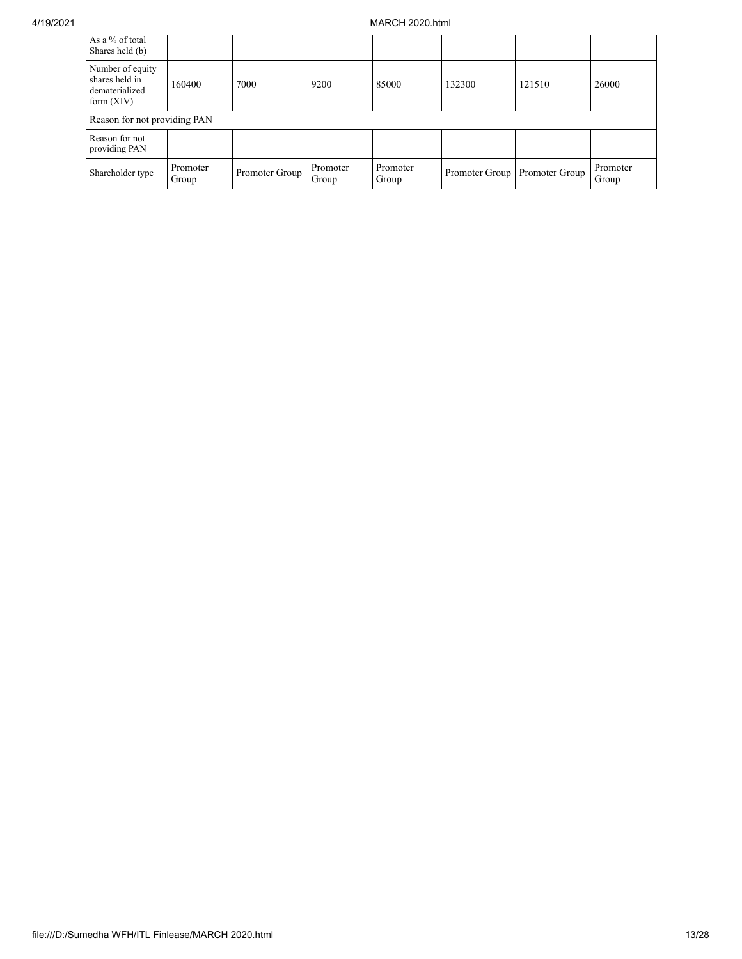| As a % of total<br>Shares held (b)                                   |                   |                |                   |                   |                |                |                   |
|----------------------------------------------------------------------|-------------------|----------------|-------------------|-------------------|----------------|----------------|-------------------|
| Number of equity<br>shares held in<br>dematerialized<br>form $(XIV)$ | 160400            | 7000           | 9200              | 85000             | 132300         | 121510         | 26000             |
| Reason for not providing PAN                                         |                   |                |                   |                   |                |                |                   |
| Reason for not<br>providing PAN                                      |                   |                |                   |                   |                |                |                   |
| Shareholder type                                                     | Promoter<br>Group | Promoter Group | Promoter<br>Group | Promoter<br>Group | Promoter Group | Promoter Group | Promoter<br>Group |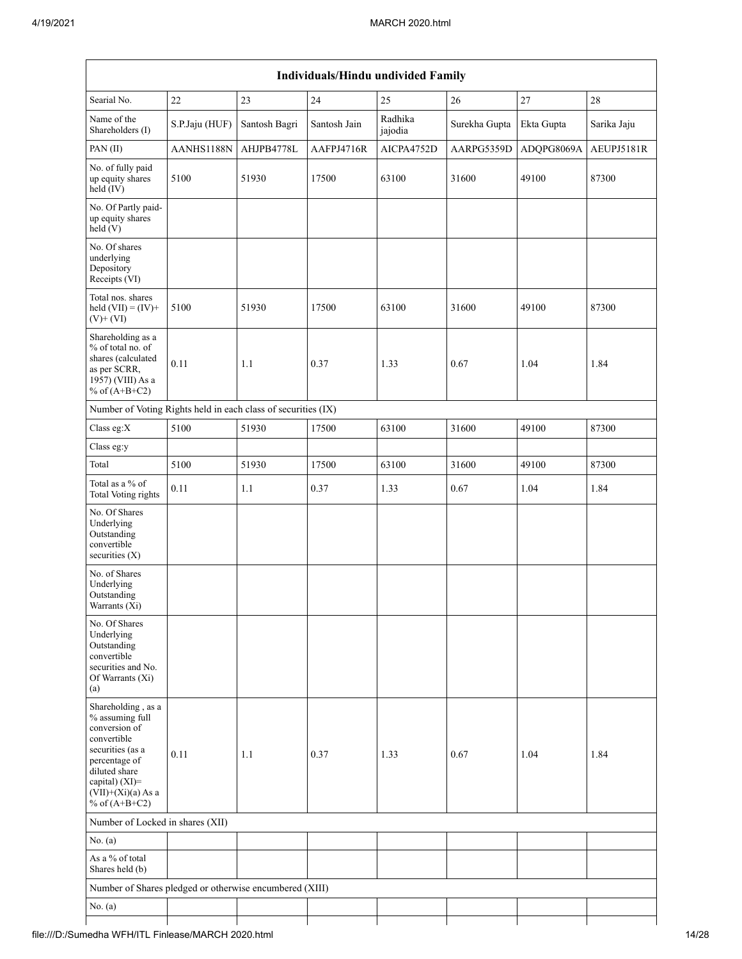| Searial No.                                                                                                                                                                              | 22             | 23            | $24\,$       | 25<br>Radhika | 26            | $27\,$     | $28\,$      |
|------------------------------------------------------------------------------------------------------------------------------------------------------------------------------------------|----------------|---------------|--------------|---------------|---------------|------------|-------------|
| Name of the<br>Shareholders (I)                                                                                                                                                          | S.P.Jaju (HUF) | Santosh Bagri | Santosh Jain | jajodia       | Surekha Gupta | Ekta Gupta | Sarika Jaju |
| PAN(II)                                                                                                                                                                                  | AANHS1188N     | AHJPB4778L    | AAFPJ4716R   | AICPA4752D    | AARPG5359D    | ADQPG8069A | AEUPJ5181R  |
| No. of fully paid<br>up equity shares<br>$held$ (IV)                                                                                                                                     | 5100           | 51930         | 17500        | 63100         | 31600         | 49100      | 87300       |
| No. Of Partly paid-<br>up equity shares<br>held (V)                                                                                                                                      |                |               |              |               |               |            |             |
| No. Of shares<br>underlying<br>Depository<br>Receipts (VI)                                                                                                                               |                |               |              |               |               |            |             |
| Total nos. shares<br>held $(VII) = (IV) +$<br>$(V)$ + $(VI)$                                                                                                                             | 5100           | 51930         | 17500        | 63100         | 31600         | 49100      | 87300       |
| Shareholding as a<br>% of total no. of<br>shares (calculated<br>as per SCRR,<br>1957) (VIII) As a<br>% of $(A+B+C2)$                                                                     | 0.11           | 1.1           | 0.37         | 1.33          | 0.67          | 1.04       | 1.84        |
| Number of Voting Rights held in each class of securities (IX)                                                                                                                            |                |               |              |               |               |            |             |
| Class eg:X                                                                                                                                                                               | 5100           | 51930         | 17500        | 63100         | 31600         | 49100      | 87300       |
| Class eg:y                                                                                                                                                                               |                |               |              |               |               |            |             |
| Total                                                                                                                                                                                    | 5100           | 51930         | 17500        | 63100         | 31600         | 49100      | 87300       |
| Total as a % of<br><b>Total Voting rights</b>                                                                                                                                            | 0.11           | 1.1           | 0.37         | 1.33          | 0.67          | 1.04       | 1.84        |
| No. Of Shares<br>Underlying<br>Outstanding<br>convertible<br>securities (X)                                                                                                              |                |               |              |               |               |            |             |
| No. of Shares<br>Underlying<br>Outstanding<br>Warrants $(X_i)$                                                                                                                           |                |               |              |               |               |            |             |
| No. Of Shares<br>Underlying<br>Outstanding<br>convertible<br>securities and No.<br>Of Warrants (Xi)<br>(a)                                                                               |                |               |              |               |               |            |             |
| Shareholding, as a<br>% assuming full<br>conversion of<br>convertible<br>securities (as a<br>percentage of<br>diluted share<br>capital) (XI)=<br>$(VII)+(Xi)(a)$ As a<br>% of $(A+B+C2)$ | 0.11           | 1.1           | 0.37         | 1.33          | 0.67          | 1.04       | 1.84        |
| Number of Locked in shares (XII)                                                                                                                                                         |                |               |              |               |               |            |             |
| No. (a)                                                                                                                                                                                  |                |               |              |               |               |            |             |
| As a % of total<br>Shares held (b)                                                                                                                                                       |                |               |              |               |               |            |             |
| Number of Shares pledged or otherwise encumbered (XIII)                                                                                                                                  |                |               |              |               |               |            |             |
| No. (a)                                                                                                                                                                                  |                |               |              |               |               |            |             |
|                                                                                                                                                                                          |                |               |              |               |               |            |             |

## file:///D:/Sumedha WFH/ITL Finlease/MARCH 2020.html 14/28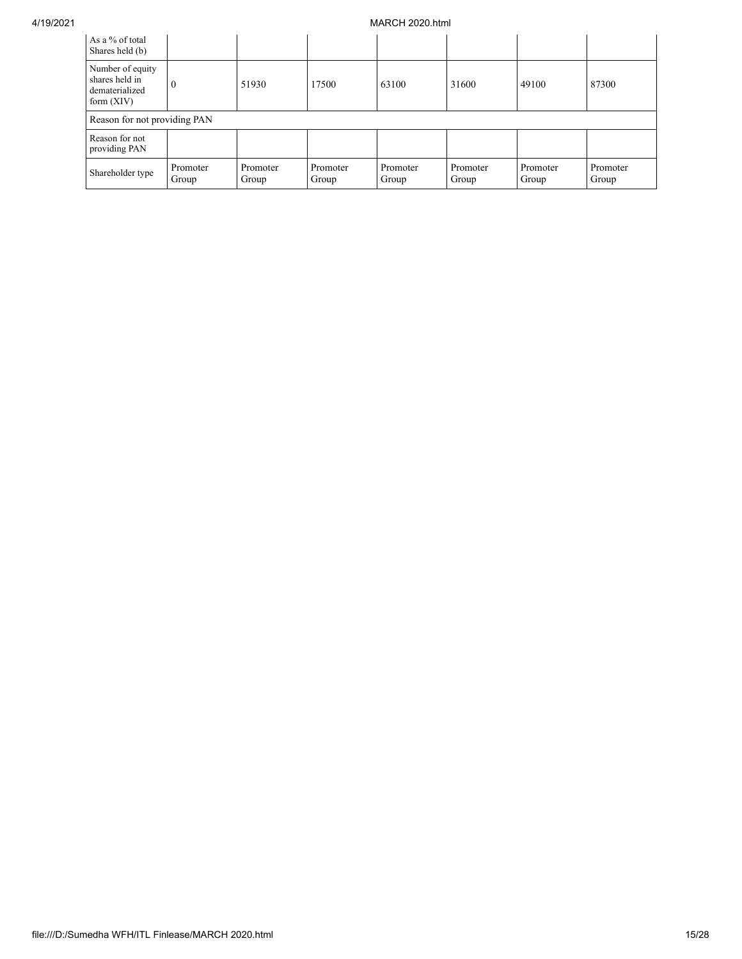| As a % of total<br>Shares held (b)                                   |                              |                   |                   |                   |                   |                   |                   |
|----------------------------------------------------------------------|------------------------------|-------------------|-------------------|-------------------|-------------------|-------------------|-------------------|
| Number of equity<br>shares held in<br>dematerialized<br>form $(XIV)$ |                              | 51930             | 17500             | 63100             | 31600             | 49100             | 87300             |
|                                                                      | Reason for not providing PAN |                   |                   |                   |                   |                   |                   |
| Reason for not<br>providing PAN                                      |                              |                   |                   |                   |                   |                   |                   |
| Shareholder type                                                     | Promoter<br>Group            | Promoter<br>Group | Promoter<br>Group | Promoter<br>Group | Promoter<br>Group | Promoter<br>Group | Promoter<br>Group |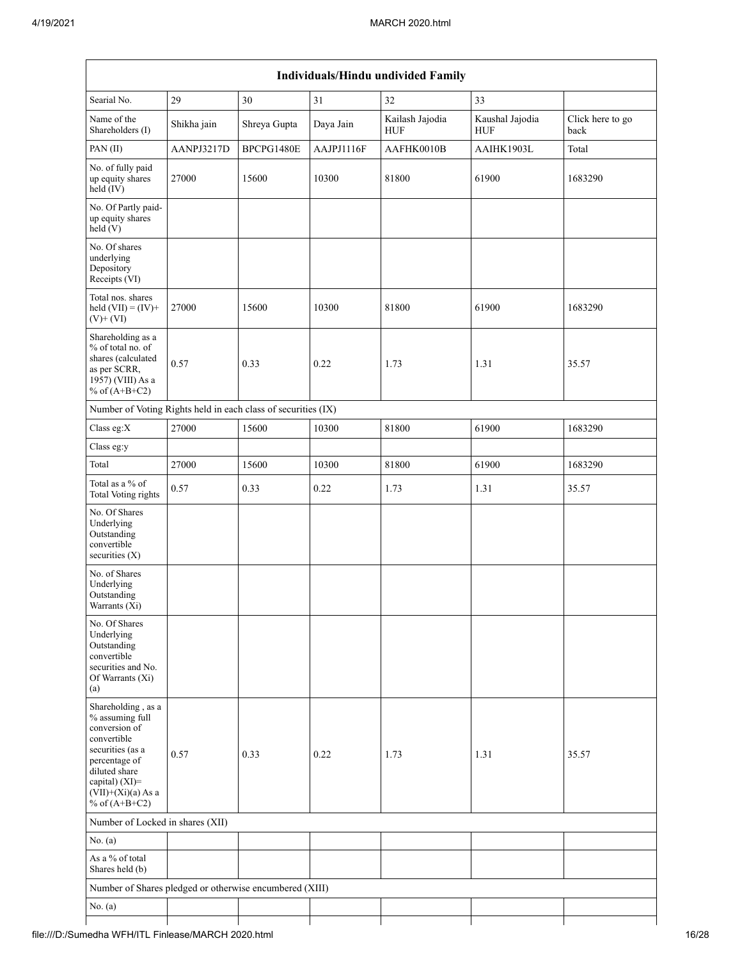|                                                                                                                                                                                          |             |              |            | Individuals/Hindu undivided Family |                               |                          |
|------------------------------------------------------------------------------------------------------------------------------------------------------------------------------------------|-------------|--------------|------------|------------------------------------|-------------------------------|--------------------------|
| Searial No.                                                                                                                                                                              | 29          | 30           | 31         | 32                                 | 33                            |                          |
| Name of the<br>Shareholders (I)                                                                                                                                                          | Shikha jain | Shreya Gupta | Daya Jain  | Kailash Jajodia<br><b>HUF</b>      | Kaushal Jajodia<br><b>HUF</b> | Click here to go<br>back |
| PAN (II)                                                                                                                                                                                 | AANPJ3217D  | BPCPG1480E   | AAJPJ1116F | AAFHK0010B                         | AAIHK1903L                    | Total                    |
| No. of fully paid<br>up equity shares<br>$held$ (IV)                                                                                                                                     | 27000       | 15600        | 10300      | 81800                              | 61900                         | 1683290                  |
| No. Of Partly paid-<br>up equity shares<br>held(V)                                                                                                                                       |             |              |            |                                    |                               |                          |
| No. Of shares<br>underlying<br>Depository<br>Receipts (VI)                                                                                                                               |             |              |            |                                    |                               |                          |
| Total nos. shares<br>held $(VII) = (IV) +$<br>$(V)$ + $(VI)$                                                                                                                             | 27000       | 15600        | 10300      | 81800                              | 61900                         | 1683290                  |
| Shareholding as a<br>% of total no. of<br>shares (calculated<br>as per SCRR,<br>1957) (VIII) As a<br>% of $(A+B+C2)$                                                                     | 0.57        | 0.33         | 0.22       | 1.73                               | 1.31                          | 35.57                    |
| Number of Voting Rights held in each class of securities (IX)                                                                                                                            |             |              |            |                                    |                               |                          |
| Class eg:X                                                                                                                                                                               | 27000       | 15600        | 10300      | 81800                              | 61900                         | 1683290                  |
| Class eg:y                                                                                                                                                                               |             |              |            |                                    |                               |                          |
| Total                                                                                                                                                                                    | 27000       | 15600        | 10300      | 81800                              | 61900                         | 1683290                  |
| Total as a % of<br><b>Total Voting rights</b>                                                                                                                                            | 0.57        | 0.33         | 0.22       | 1.73                               | 1.31                          | 35.57                    |
| No. Of Shares<br>Underlying<br>Outstanding<br>convertible<br>securities (X)                                                                                                              |             |              |            |                                    |                               |                          |
| No. of Shares<br>Underlying<br>Outstanding<br>Warrants (Xi)                                                                                                                              |             |              |            |                                    |                               |                          |
| No. Of Shares<br>Underlying<br>Outstanding<br>convertible<br>securities and No.<br>Of Warrants (Xi)<br>(a)                                                                               |             |              |            |                                    |                               |                          |
| Shareholding, as a<br>% assuming full<br>conversion of<br>convertible<br>securities (as a<br>percentage of<br>diluted share<br>capital) (XI)=<br>$(VII)+(Xi)(a)$ As a<br>% of $(A+B+C2)$ | 0.57        | 0.33         | 0.22       | 1.73                               | 1.31                          | 35.57                    |
| Number of Locked in shares (XII)                                                                                                                                                         |             |              |            |                                    |                               |                          |
| No. (a)                                                                                                                                                                                  |             |              |            |                                    |                               |                          |
| As a % of total<br>Shares held (b)                                                                                                                                                       |             |              |            |                                    |                               |                          |
| Number of Shares pledged or otherwise encumbered (XIII)                                                                                                                                  |             |              |            |                                    |                               |                          |
| No. (a)                                                                                                                                                                                  |             |              |            |                                    |                               |                          |
|                                                                                                                                                                                          |             |              |            |                                    |                               |                          |

## file:///D:/Sumedha WFH/ITL Finlease/MARCH 2020.html 16/28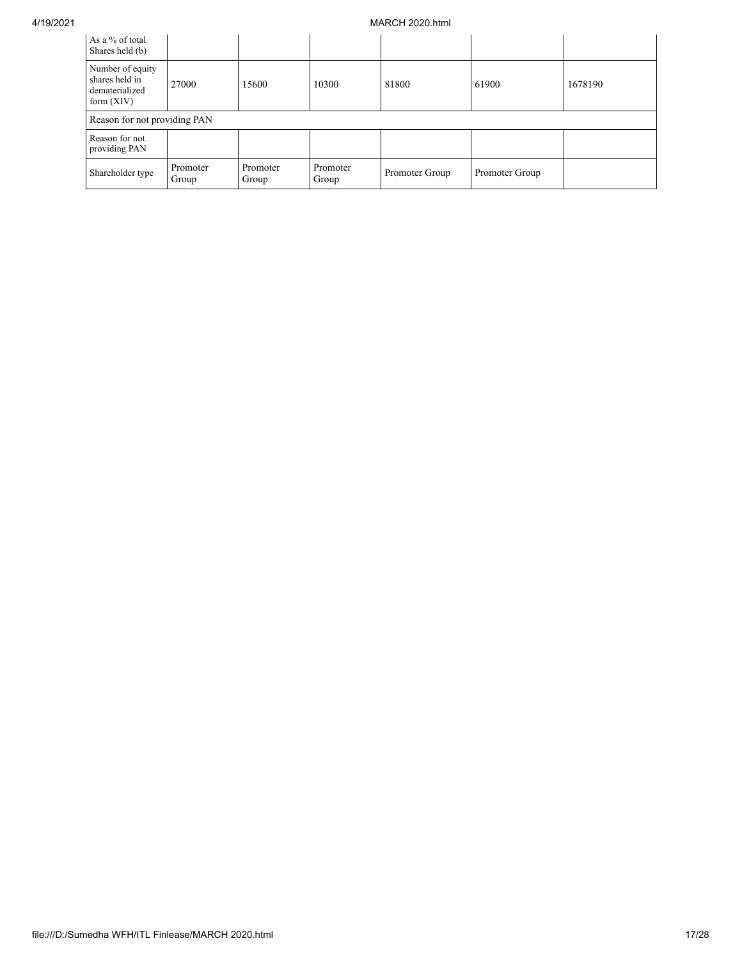| As a % of total<br>Shares held (b)                                   |                              |                   |                   |                |                |         |
|----------------------------------------------------------------------|------------------------------|-------------------|-------------------|----------------|----------------|---------|
| Number of equity<br>shares held in<br>dematerialized<br>form $(XIV)$ | 27000                        | 15600             | 10300             | 81800          | 61900          | 1678190 |
|                                                                      | Reason for not providing PAN |                   |                   |                |                |         |
| Reason for not<br>providing PAN                                      |                              |                   |                   |                |                |         |
| Shareholder type                                                     | Promoter<br>Group            | Promoter<br>Group | Promoter<br>Group | Promoter Group | Promoter Group |         |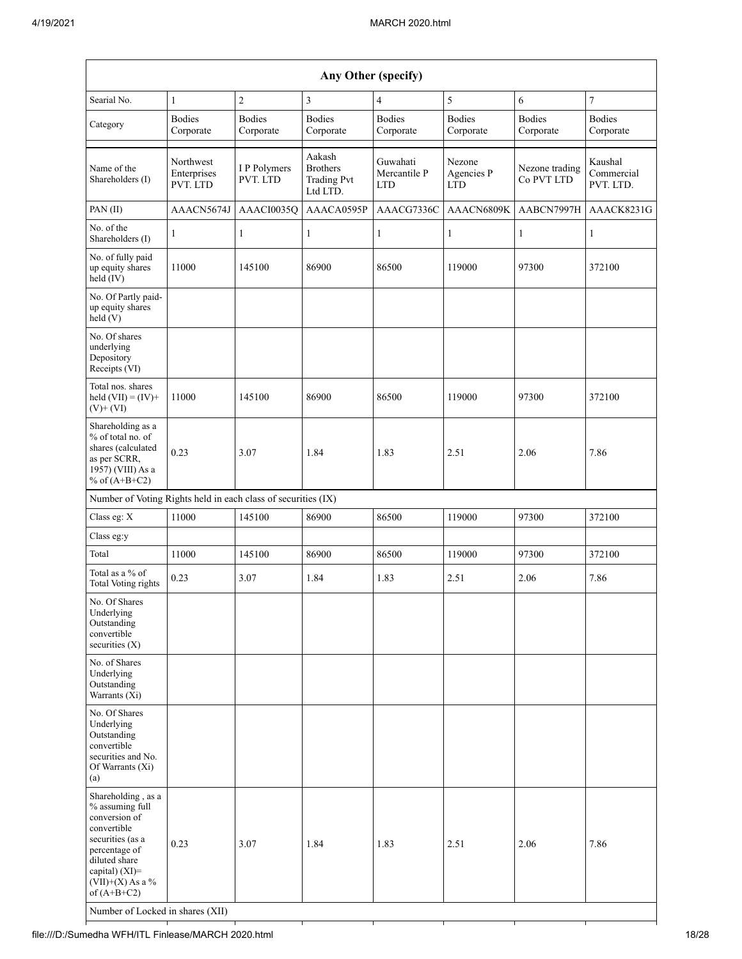|                                                                                                                                                                                                                          | Any Other (specify)                  |                            |                                                             |                                        |                             |                              |                                    |
|--------------------------------------------------------------------------------------------------------------------------------------------------------------------------------------------------------------------------|--------------------------------------|----------------------------|-------------------------------------------------------------|----------------------------------------|-----------------------------|------------------------------|------------------------------------|
| Searial No.                                                                                                                                                                                                              | $\mathbf{1}$                         | $\overline{2}$             | 3                                                           | $\overline{4}$                         | 5                           | 6                            | $\overline{7}$                     |
| Category                                                                                                                                                                                                                 | <b>Bodies</b><br>Corporate           | <b>Bodies</b><br>Corporate | <b>Bodies</b><br>Corporate                                  | <b>Bodies</b><br>Corporate             | <b>Bodies</b><br>Corporate  | <b>Bodies</b><br>Corporate   | <b>Bodies</b><br>Corporate         |
| Name of the<br>Shareholders (I)                                                                                                                                                                                          | Northwest<br>Enterprises<br>PVT. LTD | I P Polymers<br>PVT. LTD   | Aakash<br><b>Brothers</b><br><b>Trading Pvt</b><br>Ltd LTD. | Guwahati<br>Mercantile P<br><b>LTD</b> | Nezone<br>Agencies P<br>LTD | Nezone trading<br>Co PVT LTD | Kaushal<br>Commercial<br>PVT. LTD. |
| PAN(II)                                                                                                                                                                                                                  | AAACN5674J                           | AAACI0035Q                 | AAACA0595P                                                  | AAACG7336C                             | AAACN6809K                  | AABCN7997H                   | AAACK8231G                         |
| No. of the<br>Shareholders (I)                                                                                                                                                                                           | $\mathbf{1}$                         | 1                          | $\mathbf{1}$                                                | $\mathbf{1}$                           | $\mathbf{1}$                | $\mathbf{1}$                 | $\mathbf{1}$                       |
| No. of fully paid<br>up equity shares<br>held (IV)                                                                                                                                                                       | 11000                                | 145100                     | 86900                                                       | 86500                                  | 119000                      | 97300                        | 372100                             |
| No. Of Partly paid-<br>up equity shares<br>held(V)                                                                                                                                                                       |                                      |                            |                                                             |                                        |                             |                              |                                    |
| No. Of shares<br>underlying<br>Depository<br>Receipts (VI)                                                                                                                                                               |                                      |                            |                                                             |                                        |                             |                              |                                    |
| Total nos. shares<br>held $(VII) = (IV) +$<br>$(V)$ + $(VI)$                                                                                                                                                             | 11000                                | 145100                     | 86900                                                       | 86500                                  | 119000                      | 97300                        | 372100                             |
| Shareholding as a<br>% of total no. of<br>shares (calculated<br>as per SCRR,<br>1957) (VIII) As a<br>% of $(A+B+C2)$                                                                                                     | 0.23                                 | 3.07                       | 1.84                                                        | 1.83                                   | 2.51                        | 2.06                         | 7.86                               |
| Number of Voting Rights held in each class of securities (IX)                                                                                                                                                            |                                      |                            |                                                             |                                        |                             |                              |                                    |
| Class eg: X                                                                                                                                                                                                              | 11000                                | 145100                     | 86900                                                       | 86500                                  | 119000                      | 97300                        | 372100                             |
| Class eg:y                                                                                                                                                                                                               |                                      |                            |                                                             |                                        |                             |                              |                                    |
| Total                                                                                                                                                                                                                    | 11000                                | 145100                     | 86900                                                       | 86500                                  | 119000                      | 97300                        | 372100                             |
| Total as a % of<br>Total Voting rights                                                                                                                                                                                   | 0.23                                 | 3.07                       | 1.84                                                        | 1.83                                   | 2.51                        | 2.06                         | 7.86                               |
| No. Of Shares<br>Underlying<br>Outstanding<br>convertible<br>securities $(X)$                                                                                                                                            |                                      |                            |                                                             |                                        |                             |                              |                                    |
| No. of Shares<br>Underlying<br>Outstanding<br>Warrants (Xi)                                                                                                                                                              |                                      |                            |                                                             |                                        |                             |                              |                                    |
| No. Of Shares<br>Underlying<br>Outstanding<br>convertible<br>securities and No.<br>Of Warrants (Xi)<br>(a)                                                                                                               |                                      |                            |                                                             |                                        |                             |                              |                                    |
| Shareholding, as a<br>% assuming full<br>conversion of<br>convertible<br>securities (as a<br>percentage of<br>diluted share<br>capital) (XI)=<br>$(VII)+(X)$ As a %<br>of $(A+B+C2)$<br>Number of Locked in shares (XII) | 0.23                                 | 3.07                       | 1.84                                                        | 1.83                                   | 2.51                        | 2.06                         | 7.86                               |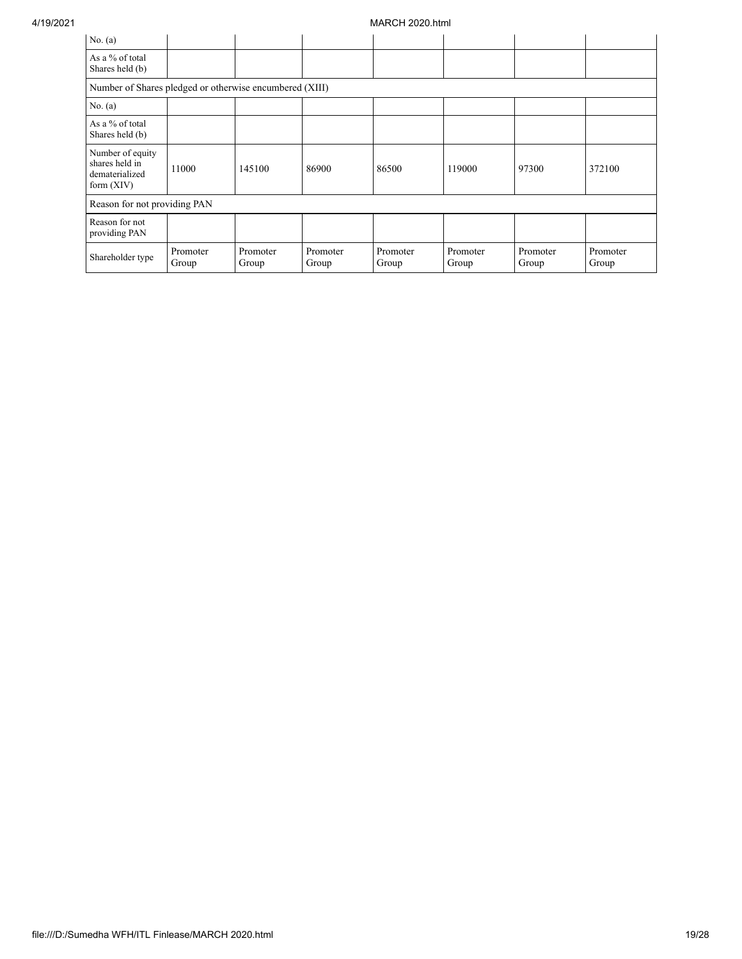| No. $(a)$                                                            |                   |                   |                   |                   |                   |                   |                   |
|----------------------------------------------------------------------|-------------------|-------------------|-------------------|-------------------|-------------------|-------------------|-------------------|
| As a % of total<br>Shares held (b)                                   |                   |                   |                   |                   |                   |                   |                   |
| Number of Shares pledged or otherwise encumbered (XIII)              |                   |                   |                   |                   |                   |                   |                   |
| No. $(a)$                                                            |                   |                   |                   |                   |                   |                   |                   |
| As a % of total<br>Shares held (b)                                   |                   |                   |                   |                   |                   |                   |                   |
| Number of equity<br>shares held in<br>dematerialized<br>form $(XIV)$ | 11000             | 145100            | 86900             | 86500             | 119000            | 97300             | 372100            |
| Reason for not providing PAN                                         |                   |                   |                   |                   |                   |                   |                   |
| Reason for not<br>providing PAN                                      |                   |                   |                   |                   |                   |                   |                   |
| Shareholder type                                                     | Promoter<br>Group | Promoter<br>Group | Promoter<br>Group | Promoter<br>Group | Promoter<br>Group | Promoter<br>Group | Promoter<br>Group |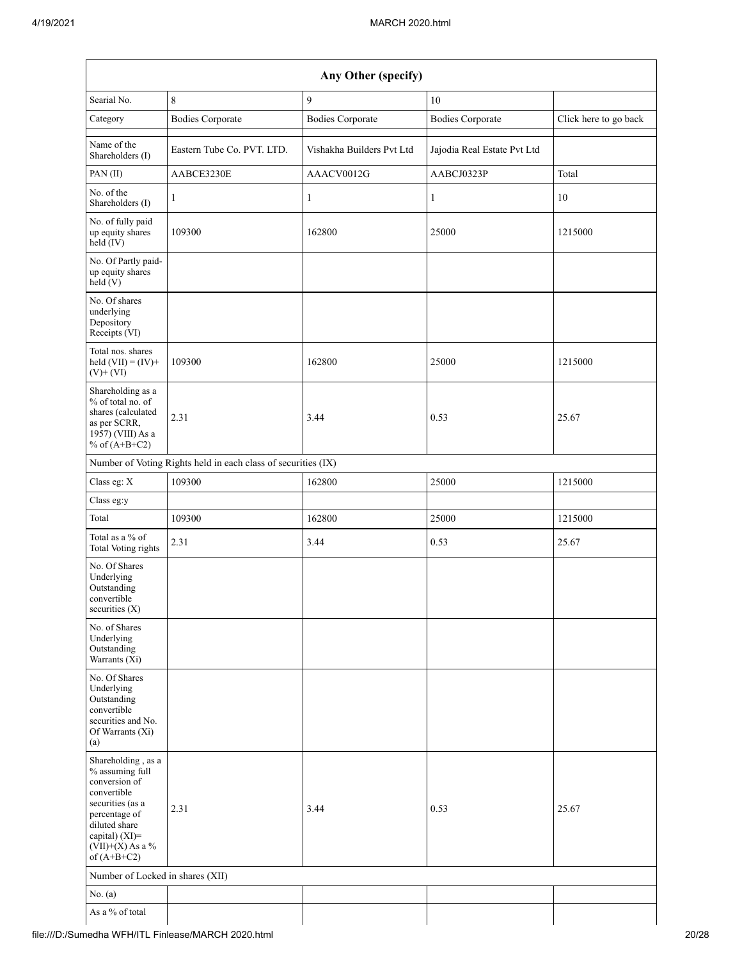| Any Other (specify)                                                                                                                                                                   |                                                               |                           |                             |                       |  |  |
|---------------------------------------------------------------------------------------------------------------------------------------------------------------------------------------|---------------------------------------------------------------|---------------------------|-----------------------------|-----------------------|--|--|
| Searial No.                                                                                                                                                                           | $\,$ 8 $\,$                                                   | 9                         | 10                          |                       |  |  |
| Category                                                                                                                                                                              | <b>Bodies Corporate</b>                                       | <b>Bodies Corporate</b>   | <b>Bodies Corporate</b>     | Click here to go back |  |  |
| Name of the<br>Shareholders (I)                                                                                                                                                       | Eastern Tube Co. PVT. LTD.                                    | Vishakha Builders Pvt Ltd | Jajodia Real Estate Pvt Ltd |                       |  |  |
| PAN (II)                                                                                                                                                                              | AABCE3230E                                                    | AAACV0012G                | AABCJ0323P                  | Total                 |  |  |
| No. of the<br>Shareholders (I)                                                                                                                                                        | $\mathbf{1}$                                                  | $\mathbf{1}$              | 1                           | 10                    |  |  |
| No. of fully paid<br>up equity shares<br>$held$ (IV)                                                                                                                                  | 109300                                                        | 162800                    | 25000                       | 1215000               |  |  |
| No. Of Partly paid-<br>up equity shares<br>held(V)                                                                                                                                    |                                                               |                           |                             |                       |  |  |
| No. Of shares<br>underlying<br>Depository<br>Receipts (VI)                                                                                                                            |                                                               |                           |                             |                       |  |  |
| Total nos. shares<br>held $(VII) = (IV) +$<br>$(V)$ + $(VI)$                                                                                                                          | 109300                                                        | 162800                    | 25000                       | 1215000               |  |  |
| Shareholding as a<br>% of total no. of<br>shares (calculated<br>as per SCRR,<br>1957) (VIII) As a<br>% of $(A+B+C2)$                                                                  | 2.31                                                          | 3.44                      | 0.53                        | 25.67                 |  |  |
|                                                                                                                                                                                       | Number of Voting Rights held in each class of securities (IX) |                           |                             |                       |  |  |
| Class eg: X                                                                                                                                                                           | 109300                                                        | 162800                    | 25000                       | 1215000               |  |  |
| Class eg:y                                                                                                                                                                            |                                                               |                           |                             |                       |  |  |
| Total                                                                                                                                                                                 | 109300                                                        | 162800                    | 25000                       | 1215000               |  |  |
| Total as a % of<br><b>Total Voting rights</b>                                                                                                                                         | 2.31                                                          | 3.44                      | 0.53                        | 25.67                 |  |  |
| No. Of Shares<br>Underlying<br>Outstanding<br>convertible<br>securities $(X)$                                                                                                         |                                                               |                           |                             |                       |  |  |
| No. of Shares<br>Underlying<br>Outstanding<br>Warrants (Xi)                                                                                                                           |                                                               |                           |                             |                       |  |  |
| No. Of Shares<br>Underlying<br>Outstanding<br>convertible<br>securities and No.<br>Of Warrants (Xi)<br>(a)                                                                            |                                                               |                           |                             |                       |  |  |
| Shareholding, as a<br>% assuming full<br>conversion of<br>convertible<br>securities (as a<br>percentage of<br>diluted share<br>capital) (XI)=<br>(VII)+(X) As a $\%$<br>of $(A+B+C2)$ | 2.31                                                          | 3.44                      | 0.53                        | 25.67                 |  |  |
| Number of Locked in shares (XII)                                                                                                                                                      |                                                               |                           |                             |                       |  |  |
| No. (a)                                                                                                                                                                               |                                                               |                           |                             |                       |  |  |
| As a % of total                                                                                                                                                                       |                                                               |                           |                             |                       |  |  |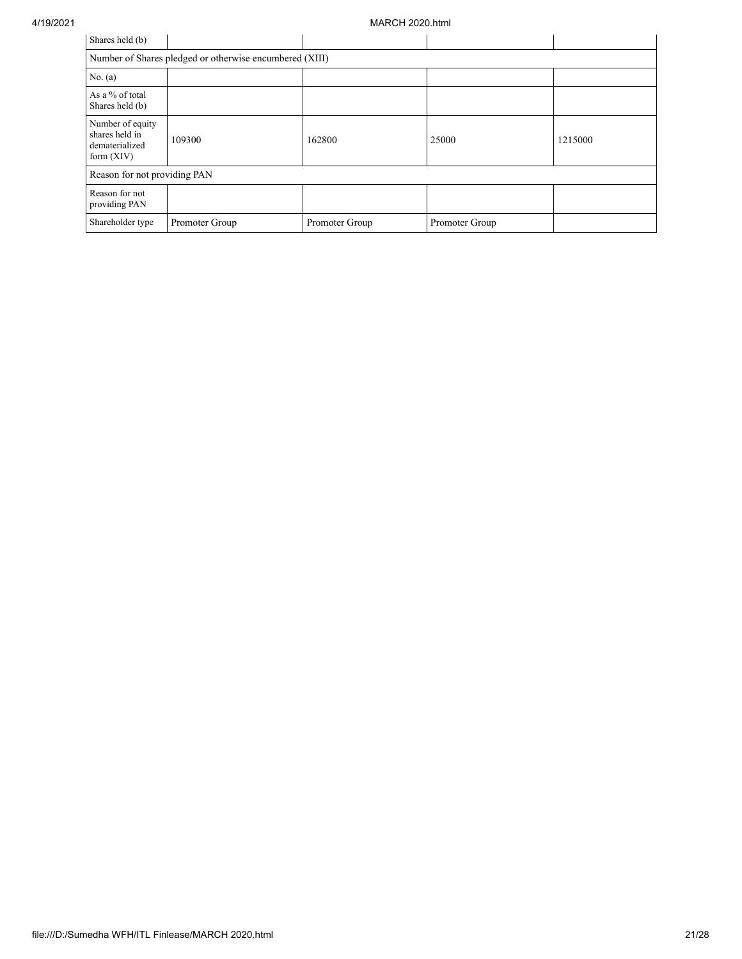| Shares held (b)                                                      |                |                |                |         |  |  |
|----------------------------------------------------------------------|----------------|----------------|----------------|---------|--|--|
| Number of Shares pledged or otherwise encumbered (XIII)              |                |                |                |         |  |  |
| No. $(a)$                                                            |                |                |                |         |  |  |
| As a % of total<br>Shares held (b)                                   |                |                |                |         |  |  |
| Number of equity<br>shares held in<br>dematerialized<br>form $(XIV)$ | 109300         | 162800         | 25000          | 1215000 |  |  |
| Reason for not providing PAN                                         |                |                |                |         |  |  |
| Reason for not<br>providing PAN                                      |                |                |                |         |  |  |
| Shareholder type                                                     | Promoter Group | Promoter Group | Promoter Group |         |  |  |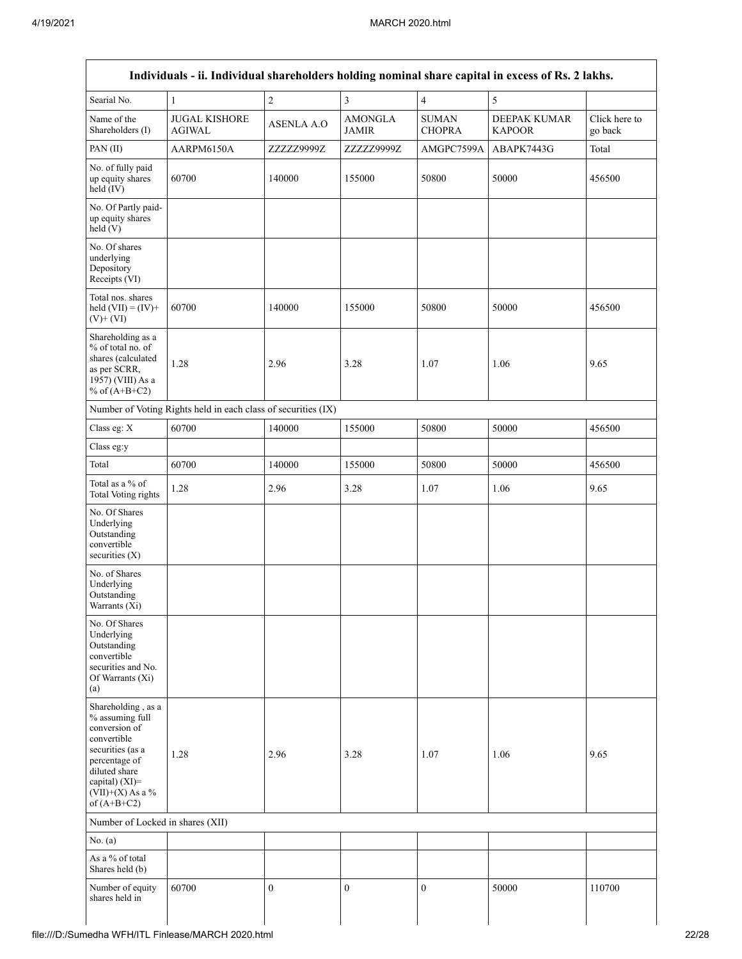| Searial No.                                                                                                                                                                          | $\mathbf{1}$                                                  | $\overline{c}$    | $\overline{\mathbf{3}}$        | $\overline{4}$                          | 5                             |                          |
|--------------------------------------------------------------------------------------------------------------------------------------------------------------------------------------|---------------------------------------------------------------|-------------------|--------------------------------|-----------------------------------------|-------------------------------|--------------------------|
| Name of the<br>Shareholders (I)                                                                                                                                                      | <b>JUGAL KISHORE</b><br><b>AGIWAL</b>                         | <b>ASENLA A.O</b> | <b>AMONGLA</b><br><b>JAMIR</b> | $\operatorname{SUMAN}$<br><b>CHOPRA</b> | DEEPAK KUMAR<br><b>KAPOOR</b> | Click here to<br>go back |
| PAN (II)                                                                                                                                                                             | AARPM6150A                                                    | ZZZZZ9999Z        | ZZZZZ9999Z                     | AMGPC7599A                              | ABAPK7443G                    | Total                    |
| No. of fully paid<br>up equity shares<br>$held$ (IV)                                                                                                                                 | 60700                                                         | 140000            | 155000                         | 50800                                   | 50000                         | 456500                   |
| No. Of Partly paid-<br>up equity shares<br>held(V)                                                                                                                                   |                                                               |                   |                                |                                         |                               |                          |
| No. Of shares<br>underlying<br>Depository<br>Receipts (VI)                                                                                                                           |                                                               |                   |                                |                                         |                               |                          |
| Total nos. shares<br>held $(VII) = (IV) +$<br>$(V)$ + $(VI)$                                                                                                                         | 60700                                                         | 140000            | 155000                         | 50800                                   | 50000                         | 456500                   |
| Shareholding as a<br>% of total no. of<br>shares (calculated<br>as per SCRR,<br>1957) (VIII) As a<br>% of $(A+B+C2)$                                                                 | 1.28                                                          | 2.96              | 3.28                           | 1.07                                    | 1.06                          | 9.65                     |
|                                                                                                                                                                                      | Number of Voting Rights held in each class of securities (IX) |                   |                                |                                         |                               |                          |
| Class eg: X                                                                                                                                                                          | 60700                                                         | 140000            | 155000                         | 50800                                   | 50000                         | 456500                   |
| Class eg:y                                                                                                                                                                           |                                                               |                   |                                |                                         |                               |                          |
| Total                                                                                                                                                                                | 60700                                                         | 140000            | 155000                         | 50800                                   | 50000                         | 456500                   |
| Total as a % of<br>Total Voting rights                                                                                                                                               | 1.28                                                          | 2.96              | 3.28                           | 1.07                                    | 1.06                          | 9.65                     |
| No. Of Shares<br>Underlying<br>Outstanding<br>convertible<br>securities $(X)$                                                                                                        |                                                               |                   |                                |                                         |                               |                          |
| No. of Shares<br>Underlying<br>Outstanding<br>Warrants (Xi)                                                                                                                          |                                                               |                   |                                |                                         |                               |                          |
| No. Of Shares<br>Underlying<br>Outstanding<br>convertible<br>securities and No.<br>Of Warrants (Xi)<br>(a)                                                                           |                                                               |                   |                                |                                         |                               |                          |
| Shareholding, as a<br>% assuming full<br>conversion of<br>convertible<br>securities (as a<br>percentage of<br>diluted share<br>capital) (XI)=<br>$(VII)+(X)$ As a %<br>of $(A+B+C2)$ | 1.28                                                          | 2.96              | 3.28                           | 1.07                                    | 1.06                          | 9.65                     |
| Number of Locked in shares (XII)                                                                                                                                                     |                                                               |                   |                                |                                         |                               |                          |
| No. $(a)$                                                                                                                                                                            |                                                               |                   |                                |                                         |                               |                          |
| As a % of total<br>Shares held (b)                                                                                                                                                   |                                                               |                   |                                |                                         |                               |                          |
| Number of equity<br>shares held in                                                                                                                                                   | 60700                                                         | $\mathbf{0}$      | $\mathbf{0}$                   | $\mathbf{0}$                            | 50000                         | 110700                   |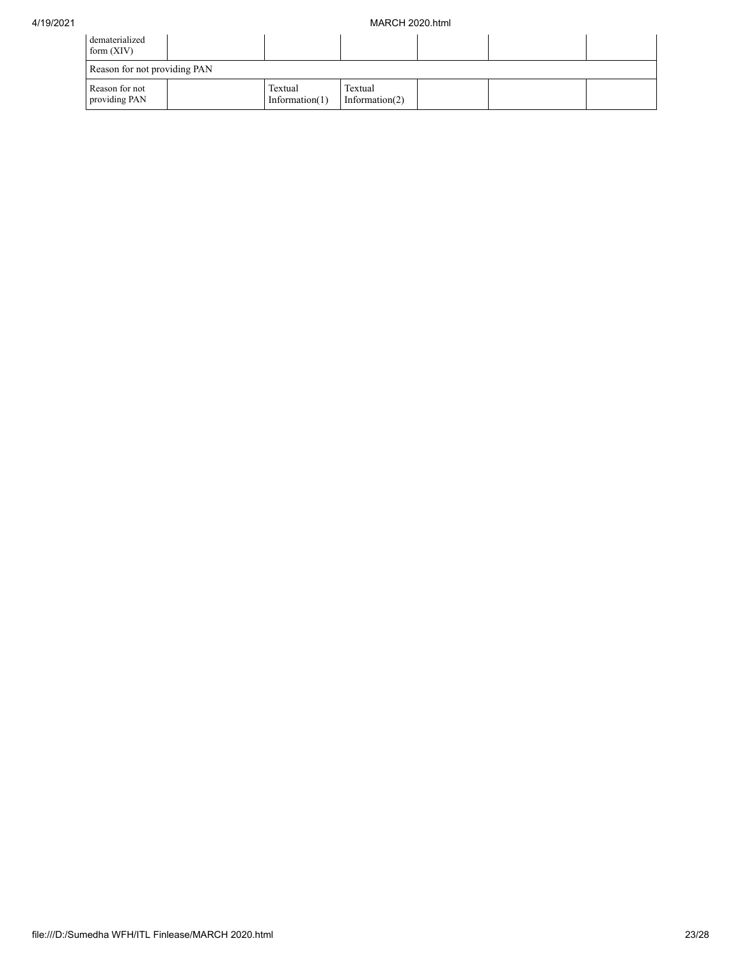| dematerialized<br>form $(XIV)$  |                              |                              |  |  |
|---------------------------------|------------------------------|------------------------------|--|--|
| Reason for not providing PAN    |                              |                              |  |  |
| Reason for not<br>providing PAN | Textual<br>Information $(1)$ | Textual<br>Information $(2)$ |  |  |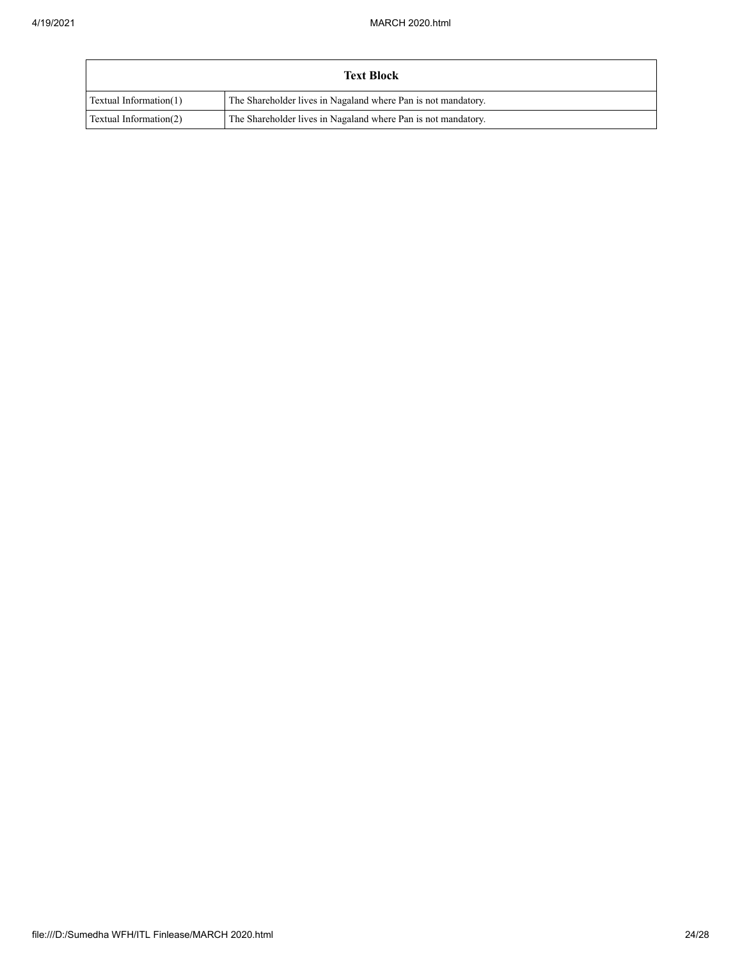| <b>Text Block</b>      |                                                               |  |  |  |
|------------------------|---------------------------------------------------------------|--|--|--|
| Textual Information(1) | The Shareholder lives in Nagaland where Pan is not mandatory. |  |  |  |
| Textual Information(2) | The Shareholder lives in Nagaland where Pan is not mandatory. |  |  |  |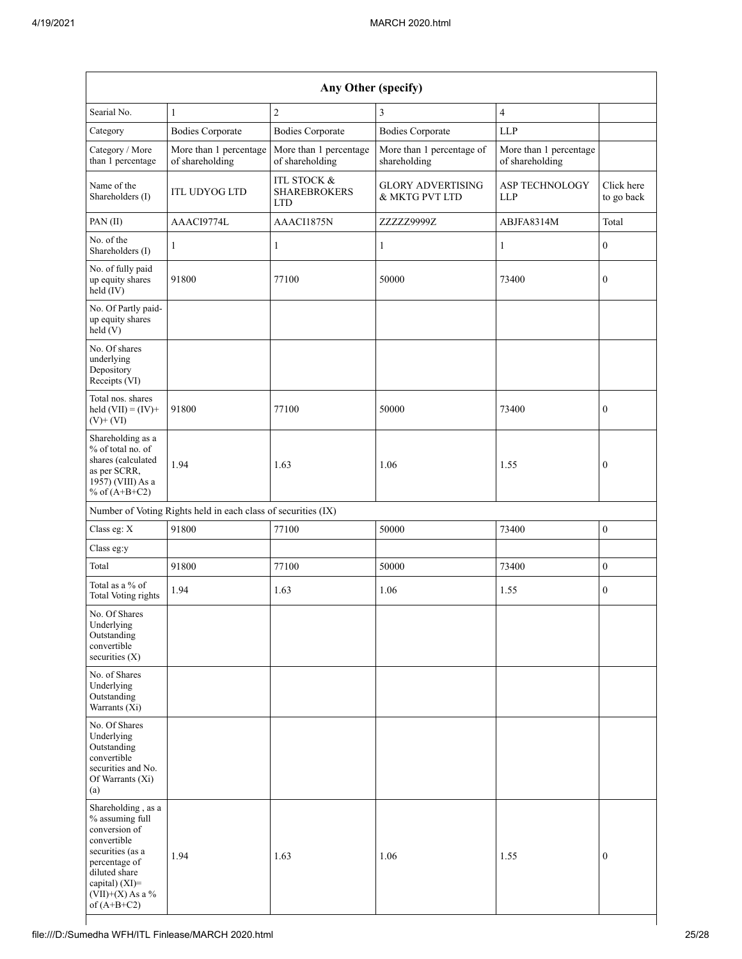| Any Other (specify)                                                                                                                                                                  |                                                               |                                                             |                                            |                                           |                          |  |
|--------------------------------------------------------------------------------------------------------------------------------------------------------------------------------------|---------------------------------------------------------------|-------------------------------------------------------------|--------------------------------------------|-------------------------------------------|--------------------------|--|
| Searial No.                                                                                                                                                                          | $\mathbf{1}$                                                  | $\overline{c}$                                              | 3                                          | $\overline{4}$                            |                          |  |
| Category                                                                                                                                                                             | <b>Bodies Corporate</b>                                       | <b>Bodies Corporate</b>                                     | <b>Bodies Corporate</b>                    | <b>LLP</b>                                |                          |  |
| Category / More<br>than 1 percentage                                                                                                                                                 | More than 1 percentage<br>of shareholding                     | More than 1 percentage<br>of shareholding                   | More than 1 percentage of<br>shareholding  | More than 1 percentage<br>of shareholding |                          |  |
| Name of the<br>Shareholders (I)                                                                                                                                                      | <b>ITL UDYOG LTD</b>                                          | <b>ITL STOCK &amp;</b><br><b>SHAREBROKERS</b><br><b>LTD</b> | <b>GLORY ADVERTISING</b><br>& MKTG PVT LTD | ASP TECHNOLOGY<br>LLP                     | Click here<br>to go back |  |
| PAN (II)                                                                                                                                                                             | AAACI9774L                                                    | AAACI1875N                                                  | ZZZZZ9999Z                                 | ABJFA8314M                                | Total                    |  |
| No. of the<br>Shareholders (I)                                                                                                                                                       | 1                                                             | 1                                                           | 1                                          | 1                                         | $\boldsymbol{0}$         |  |
| No. of fully paid<br>up equity shares<br>held (IV)                                                                                                                                   | 91800                                                         | 77100                                                       | 50000                                      | 73400                                     | $\boldsymbol{0}$         |  |
| No. Of Partly paid-<br>up equity shares<br>held(V)                                                                                                                                   |                                                               |                                                             |                                            |                                           |                          |  |
| No. Of shares<br>underlying<br>Depository<br>Receipts (VI)                                                                                                                           |                                                               |                                                             |                                            |                                           |                          |  |
| Total nos. shares<br>held $(VII) = (IV) +$<br>$(V)$ + $(VI)$                                                                                                                         | 91800                                                         | 77100                                                       | 50000                                      | 73400                                     | $\boldsymbol{0}$         |  |
| Shareholding as a<br>% of total no. of<br>shares (calculated<br>as per SCRR,<br>1957) (VIII) As a<br>% of $(A+B+C2)$                                                                 | 1.94                                                          | 1.63                                                        | 1.06                                       | 1.55                                      | $\boldsymbol{0}$         |  |
|                                                                                                                                                                                      | Number of Voting Rights held in each class of securities (IX) |                                                             |                                            |                                           |                          |  |
| Class eg: X                                                                                                                                                                          | 91800                                                         | 77100                                                       | 50000                                      | 73400                                     | $\boldsymbol{0}$         |  |
| Class eg:y                                                                                                                                                                           |                                                               |                                                             |                                            |                                           |                          |  |
| Total                                                                                                                                                                                | 91800                                                         | 77100                                                       | 50000                                      | 73400                                     | $\boldsymbol{0}$         |  |
| Total as a % of<br>Total Voting rights                                                                                                                                               | 1.94                                                          | 1.63                                                        | 1.06                                       | 1.55                                      | $\mathbf{0}$             |  |
| No. Of Shares<br>Underlying<br>Outstanding<br>convertible<br>securities (X)                                                                                                          |                                                               |                                                             |                                            |                                           |                          |  |
| No. of Shares<br>Underlying<br>Outstanding<br>Warrants (Xi)                                                                                                                          |                                                               |                                                             |                                            |                                           |                          |  |
| No. Of Shares<br>Underlying<br>Outstanding<br>convertible<br>securities and No.<br>Of Warrants (Xi)<br>(a)                                                                           |                                                               |                                                             |                                            |                                           |                          |  |
| Shareholding, as a<br>% assuming full<br>conversion of<br>convertible<br>securities (as a<br>percentage of<br>diluted share<br>capital) (XI)=<br>$(VII)+(X)$ As a %<br>of $(A+B+C2)$ | 1.94                                                          | 1.63                                                        | 1.06                                       | 1.55                                      | $\boldsymbol{0}$         |  |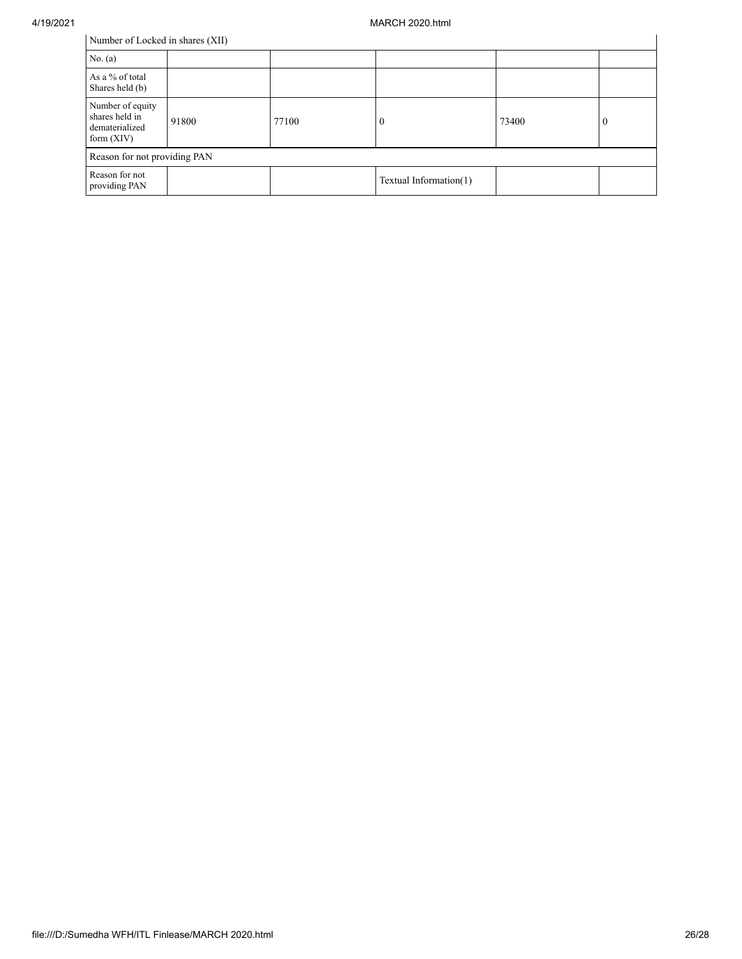| Number of Locked in shares (XII) |  |
|----------------------------------|--|
|----------------------------------|--|

| Number of Locked in shares (XII)                                     |       |       |                        |       |              |  |
|----------------------------------------------------------------------|-------|-------|------------------------|-------|--------------|--|
| No. $(a)$                                                            |       |       |                        |       |              |  |
| As a % of total<br>Shares held (b)                                   |       |       |                        |       |              |  |
| Number of equity<br>shares held in<br>dematerialized<br>form $(XIV)$ | 91800 | 77100 | U                      | 73400 | $\mathbf{0}$ |  |
| Reason for not providing PAN                                         |       |       |                        |       |              |  |
| Reason for not<br>providing PAN                                      |       |       | Textual Information(1) |       |              |  |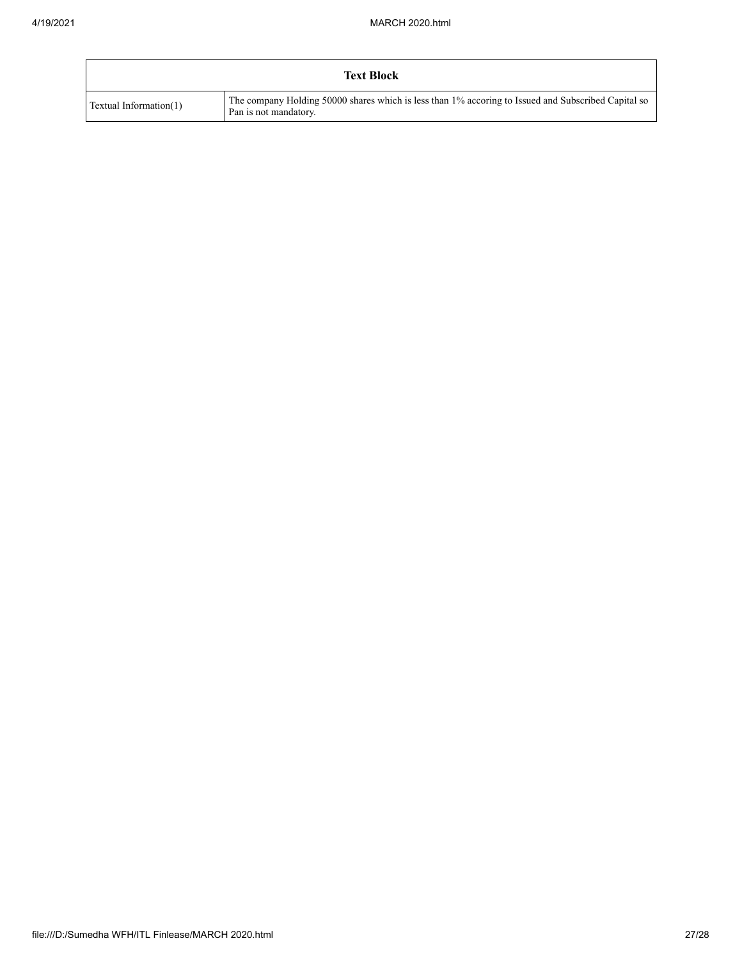| <b>Text Block</b>      |                                                                                                                              |  |
|------------------------|------------------------------------------------------------------------------------------------------------------------------|--|
| Textual Information(1) | The company Holding 50000 shares which is less than 1% accoring to Issued and Subscribed Capital so<br>Pan is not mandatory. |  |